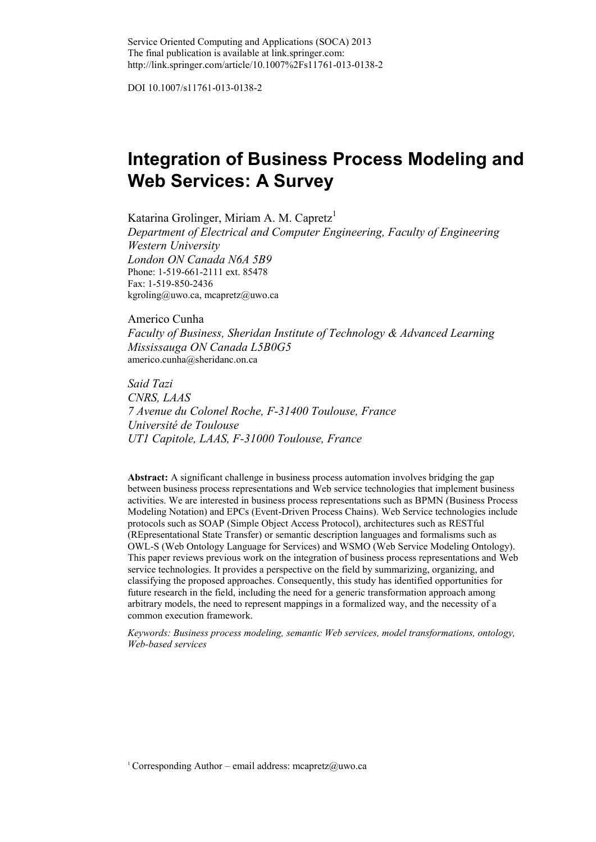DOI 10.1007/s11761-013-0138-2

# **Integration of Business Process Modeling and Web Services: A Survey**

Katarina Grolinger, Miriam A. M. Capretz<sup>1</sup>

*Department of Electrical and Computer Engineering, Faculty of Engineering Western University London ON Canada N6A 5B9* Phone: 1-519-661-2111 ext. 85478 Fax: 1-519-850-2436 kgroling@uwo.ca, mcapretz@uwo.ca

Americo Cunha *Faculty of Business, Sheridan Institute of Technology & Advanced Learning Mississauga ON Canada L5B0G5* americo.cunha@sheridanc.on.ca

*Said Tazi CNRS, LAAS 7 Avenue du Colonel Roche, F-31400 Toulouse, France Université de Toulouse UT1 Capitole, LAAS, F-31000 Toulouse, France*

**Abstract:** A significant challenge in business process automation involves bridging the gap between business process representations and Web service technologies that implement business activities. We are interested in business process representations such as BPMN (Business Process Modeling Notation) and EPCs (Event-Driven Process Chains). Web Service technologies include protocols such as SOAP (Simple Object Access Protocol), architectures such as RESTful (REpresentational State Transfer) or semantic description languages and formalisms such as OWL-S (Web Ontology Language for Services) and WSMO (Web Service Modeling Ontology). This paper reviews previous work on the integration of business process representations and Web service technologies. It provides a perspective on the field by summarizing, organizing, and classifying the proposed approaches. Consequently, this study has identified opportunities for future research in the field, including the need for a generic transformation approach among arbitrary models, the need to represent mappings in a formalized way, and the necessity of a common execution framework.

*Keywords: Business process modeling, semantic Web services, model transformations, ontology, Web-based services*

<sup>1</sup> Corresponding Author – email address: mcapretz@uwo.ca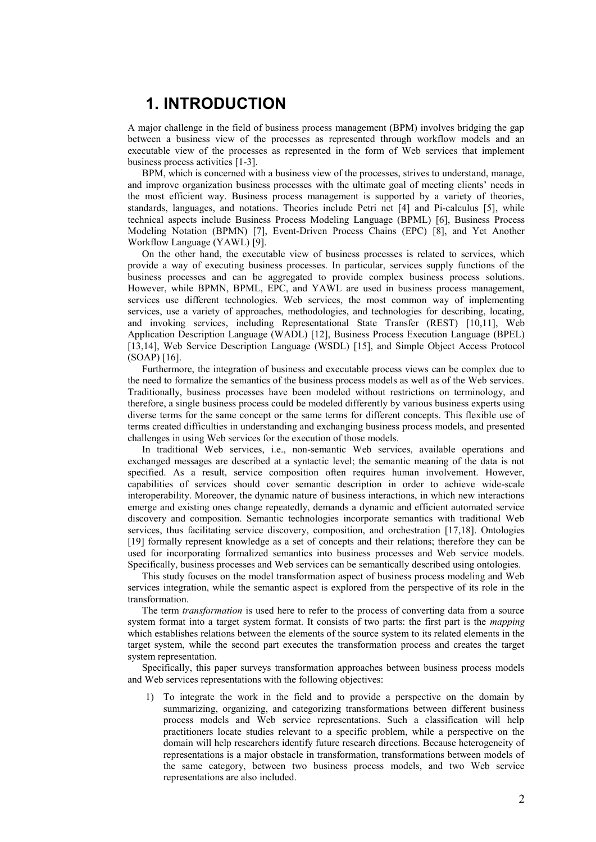## **1. INTRODUCTION**

A major challenge in the field of business process management (BPM) involves bridging the gap between a business view of the processes as represented through workflow models and an executable view of the processes as represented in the form of Web services that implement business process activities [1-3].

BPM, which is concerned with a business view of the processes, strives to understand, manage, and improve organization business processes with the ultimate goal of meeting clients' needs in the most efficient way. Business process management is supported by a variety of theories, standards, languages, and notations. Theories include Petri net [4] and Pi-calculus [5], while technical aspects include Business Process Modeling Language (BPML) [6], Business Process Modeling Notation (BPMN) [7], Event-Driven Process Chains (EPC) [8], and Yet Another Workflow Language (YAWL) [9].

On the other hand, the executable view of business processes is related to services, which provide a way of executing business processes. In particular, services supply functions of the business processes and can be aggregated to provide complex business process solutions. However, while BPMN, BPML, EPC, and YAWL are used in business process management, services use different technologies. Web services, the most common way of implementing services, use a variety of approaches, methodologies, and technologies for describing, locating, and invoking services, including Representational State Transfer (REST) [10,11], Web Application Description Language (WADL) [12], Business Process Execution Language (BPEL) [13,14], Web Service Description Language (WSDL) [15], and Simple Object Access Protocol (SOAP) [16].

Furthermore, the integration of business and executable process views can be complex due to the need to formalize the semantics of the business process models as well as of the Web services. Traditionally, business processes have been modeled without restrictions on terminology, and therefore, a single business process could be modeled differently by various business experts using diverse terms for the same concept or the same terms for different concepts. This flexible use of terms created difficulties in understanding and exchanging business process models, and presented challenges in using Web services for the execution of those models.

In traditional Web services, i.e., non-semantic Web services, available operations and exchanged messages are described at a syntactic level; the semantic meaning of the data is not specified. As a result, service composition often requires human involvement. However, capabilities of services should cover semantic description in order to achieve wide-scale interoperability. Moreover, the dynamic nature of business interactions, in which new interactions emerge and existing ones change repeatedly, demands a dynamic and efficient automated service discovery and composition. Semantic technologies incorporate semantics with traditional Web services, thus facilitating service discovery, composition, and orchestration [17,18]. Ontologies [19] formally represent knowledge as a set of concepts and their relations; therefore they can be used for incorporating formalized semantics into business processes and Web service models. Specifically, business processes and Web services can be semantically described using ontologies.

This study focuses on the model transformation aspect of business process modeling and Web services integration, while the semantic aspect is explored from the perspective of its role in the transformation.

The term *transformation* is used here to refer to the process of converting data from a source system format into a target system format. It consists of two parts: the first part is the *mapping* which establishes relations between the elements of the source system to its related elements in the target system, while the second part executes the transformation process and creates the target system representation.

Specifically, this paper surveys transformation approaches between business process models and Web services representations with the following objectives:

1) To integrate the work in the field and to provide a perspective on the domain by summarizing, organizing, and categorizing transformations between different business process models and Web service representations. Such a classification will help practitioners locate studies relevant to a specific problem, while a perspective on the domain will help researchers identify future research directions. Because heterogeneity of representations is a major obstacle in transformation, transformations between models of the same category, between two business process models, and two Web service representations are also included.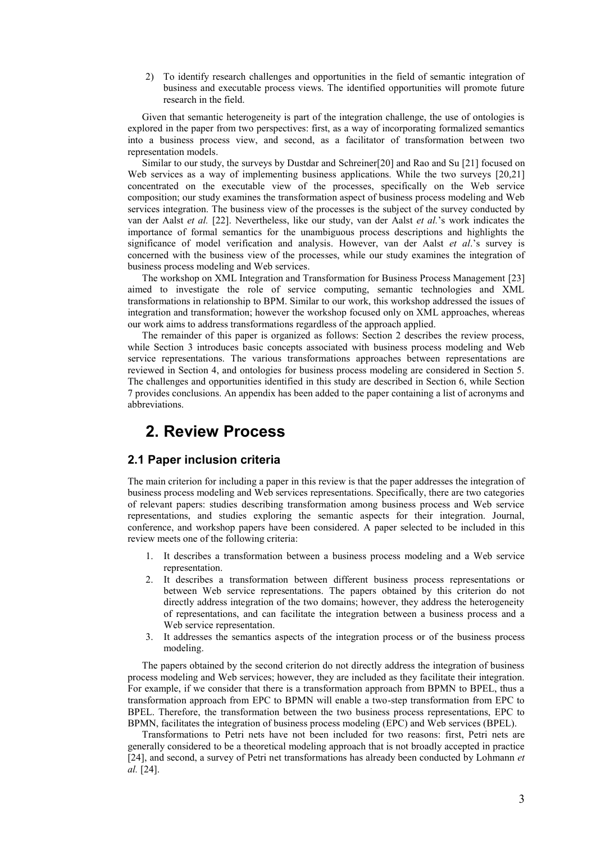2) To identify research challenges and opportunities in the field of semantic integration of business and executable process views. The identified opportunities will promote future research in the field.

Given that semantic heterogeneity is part of the integration challenge, the use of ontologies is explored in the paper from two perspectives: first, as a way of incorporating formalized semantics into a business process view, and second, as a facilitator of transformation between two representation models.

Similar to our study, the surveys by Dustdar and Schreiner[20] and Rao and Su [21] focused on Web services as a way of implementing business applications. While the two surveys [20,21] concentrated on the executable view of the processes, specifically on the Web service composition; our study examines the transformation aspect of business process modeling and Web services integration. The business view of the processes is the subject of the survey conducted by van der Aalst *et al.* [22]. Nevertheless, like our study, van der Aalst *et al.*'s work indicates the importance of formal semantics for the unambiguous process descriptions and highlights the significance of model verification and analysis. However, van der Aalst *et al*.'s survey is concerned with the business view of the processes, while our study examines the integration of business process modeling and Web services.

The workshop on XML Integration and Transformation for Business Process Management [23] aimed to investigate the role of service computing, semantic technologies and XML transformations in relationship to BPM. Similar to our work, this workshop addressed the issues of integration and transformation; however the workshop focused only on XML approaches, whereas our work aims to address transformations regardless of the approach applied.

The remainder of this paper is organized as follows: Section 2 describes the review process, while Section 3 introduces basic concepts associated with business process modeling and Web service representations. The various transformations approaches between representations are reviewed in Section 4, and ontologies for business process modeling are considered in Section 5. The challenges and opportunities identified in this study are described in Section 6, while Section 7 provides conclusions. An appendix has been added to the paper containing a list of acronyms and abbreviations.

## **2. Review Process**

## **2.1 Paper inclusion criteria**

The main criterion for including a paper in this review is that the paper addresses the integration of business process modeling and Web services representations. Specifically, there are two categories of relevant papers: studies describing transformation among business process and Web service representations, and studies exploring the semantic aspects for their integration. Journal, conference, and workshop papers have been considered. A paper selected to be included in this review meets one of the following criteria:

- 1. It describes a transformation between a business process modeling and a Web service representation.
- 2. It describes a transformation between different business process representations or between Web service representations. The papers obtained by this criterion do not directly address integration of the two domains; however, they address the heterogeneity of representations, and can facilitate the integration between a business process and a Web service representation.
- 3. It addresses the semantics aspects of the integration process or of the business process modeling.

The papers obtained by the second criterion do not directly address the integration of business process modeling and Web services; however, they are included as they facilitate their integration. For example, if we consider that there is a transformation approach from BPMN to BPEL, thus a transformation approach from EPC to BPMN will enable a two-step transformation from EPC to BPEL. Therefore, the transformation between the two business process representations, EPC to BPMN, facilitates the integration of business process modeling (EPC) and Web services (BPEL).

Transformations to Petri nets have not been included for two reasons: first, Petri nets are generally considered to be a theoretical modeling approach that is not broadly accepted in practice [24], and second, a survey of Petri net transformations has already been conducted by Lohmann *et al.* [24].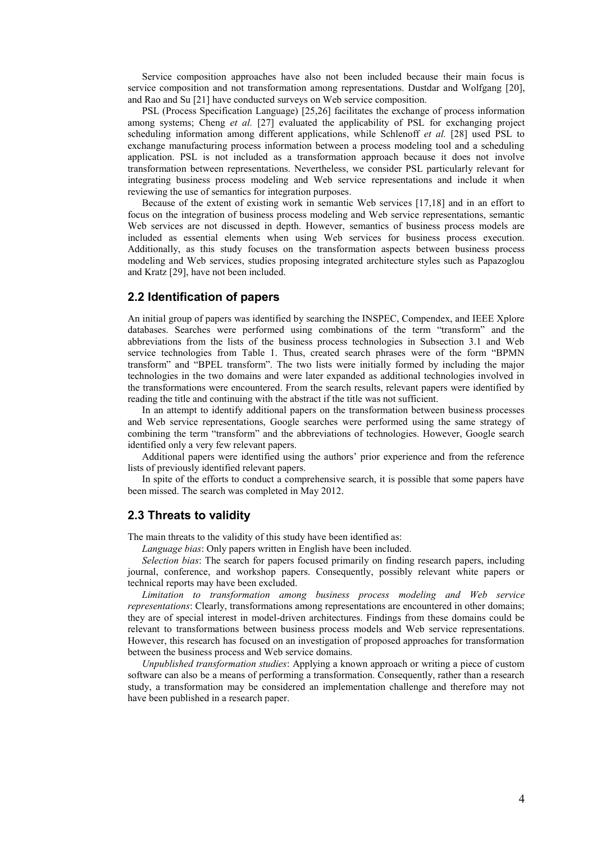Service composition approaches have also not been included because their main focus is service composition and not transformation among representations. Dustdar and Wolfgang [20], and Rao and Su [21] have conducted surveys on Web service composition.

PSL (Process Specification Language) [25,26] facilitates the exchange of process information among systems; Cheng *et al.* [27] evaluated the applicability of PSL for exchanging project scheduling information among different applications, while Schlenoff *et al.* [28] used PSL to exchange manufacturing process information between a process modeling tool and a scheduling application. PSL is not included as a transformation approach because it does not involve transformation between representations. Nevertheless, we consider PSL particularly relevant for integrating business process modeling and Web service representations and include it when reviewing the use of semantics for integration purposes.

Because of the extent of existing work in semantic Web services [17,18] and in an effort to focus on the integration of business process modeling and Web service representations, semantic Web services are not discussed in depth. However, semantics of business process models are included as essential elements when using Web services for business process execution. Additionally, as this study focuses on the transformation aspects between business process modeling and Web services, studies proposing integrated architecture styles such as Papazoglou and Kratz [29], have not been included.

#### **2.2 Identification of papers**

An initial group of papers was identified by searching the INSPEC, Compendex, and IEEE Xplore databases. Searches were performed using combinations of the term "transform" and the abbreviations from the lists of the business process technologies in Subsection 3.1 and Web service technologies from Table 1. Thus, created search phrases were of the form "BPMN transform" and "BPEL transform". The two lists were initially formed by including the major technologies in the two domains and were later expanded as additional technologies involved in the transformations were encountered. From the search results, relevant papers were identified by reading the title and continuing with the abstract if the title was not sufficient.

In an attempt to identify additional papers on the transformation between business processes and Web service representations, Google searches were performed using the same strategy of combining the term "transform" and the abbreviations of technologies. However, Google search identified only a very few relevant papers.

Additional papers were identified using the authors' prior experience and from the reference lists of previously identified relevant papers.

In spite of the efforts to conduct a comprehensive search, it is possible that some papers have been missed. The search was completed in May 2012.

## **2.3 Threats to validity**

The main threats to the validity of this study have been identified as:

*Language bias*: Only papers written in English have been included.

*Selection bias*: The search for papers focused primarily on finding research papers, including journal, conference, and workshop papers. Consequently, possibly relevant white papers or technical reports may have been excluded.

*Limitation to transformation among business process modeling and Web service representations*: Clearly, transformations among representations are encountered in other domains; they are of special interest in model-driven architectures. Findings from these domains could be relevant to transformations between business process models and Web service representations. However, this research has focused on an investigation of proposed approaches for transformation between the business process and Web service domains.

*Unpublished transformation studies*: Applying a known approach or writing a piece of custom software can also be a means of performing a transformation. Consequently, rather than a research study, a transformation may be considered an implementation challenge and therefore may not have been published in a research paper.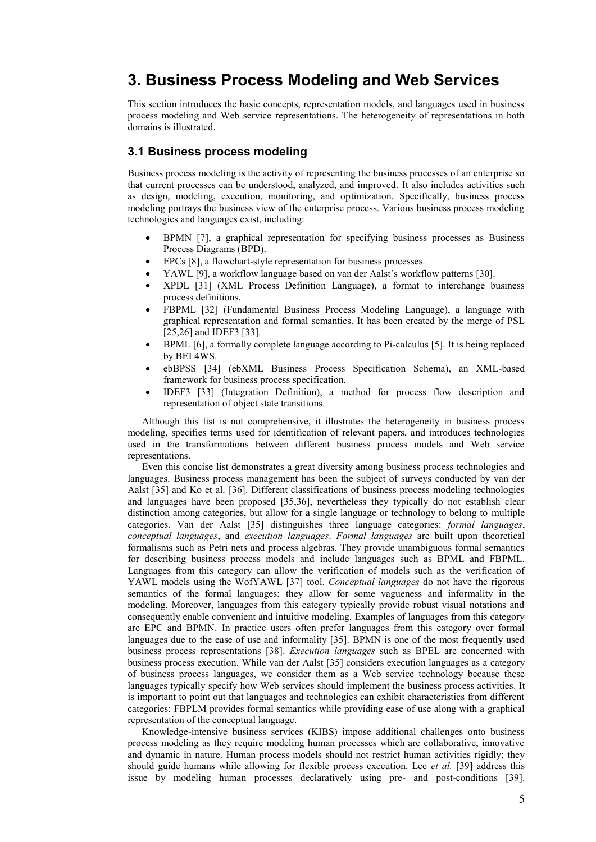# **3. Business Process Modeling and Web Services**

This section introduces the basic concepts, representation models, and languages used in business process modeling and Web service representations. The heterogeneity of representations in both domains is illustrated.

## **3.1 Business process modeling**

Business process modeling is the activity of representing the business processes of an enterprise so that current processes can be understood, analyzed, and improved. It also includes activities such as design, modeling, execution, monitoring, and optimization. Specifically, business process modeling portrays the business view of the enterprise process. Various business process modeling technologies and languages exist, including:

- BPMN [7], a graphical representation for specifying business processes as Business Process Diagrams (BPD).
- EPCs [8], a flowchart-style representation for business processes.
- YAWL [9], a workflow language based on van der Aalst's workflow patterns [30].
- XPDL [31] (XML Process Definition Language), a format to interchange business process definitions.
- FBPML [32] (Fundamental Business Process Modeling Language), a language with graphical representation and formal semantics. It has been created by the merge of PSL [25,26] and IDEF3 [33].
- BPML [6], a formally complete language according to Pi-calculus [5]. It is being replaced by BEL4WS.
- ebBPSS [34] (ebXML Business Process Specification Schema), an XML-based framework for business process specification.
- IDEF3 [33] (Integration Definition), a method for process flow description and representation of object state transitions.

Although this list is not comprehensive, it illustrates the heterogeneity in business process modeling, specifies terms used for identification of relevant papers, and introduces technologies used in the transformations between different business process models and Web service representations.

Even this concise list demonstrates a great diversity among business process technologies and languages. Business process management has been the subject of surveys conducted by van der Aalst [35] and Ko et al. [36]. Different classifications of business process modeling technologies and languages have been proposed [35,36], nevertheless they typically do not establish clear distinction among categories, but allow for a single language or technology to belong to multiple categories. Van der Aalst [35] distinguishes three language categories: *formal languages*, *conceptual languages*, and *execution languages*. *Formal languages* are built upon theoretical formalisms such as Petri nets and process algebras. They provide unambiguous formal semantics for describing business process models and include languages such as BPML and FBPML. Languages from this category can allow the verification of models such as the verification of YAWL models using the WofYAWL [37] tool. *Conceptual languages* do not have the rigorous semantics of the formal languages; they allow for some vagueness and informality in the modeling. Moreover, languages from this category typically provide robust visual notations and consequently enable convenient and intuitive modeling. Examples of languages from this category are EPC and BPMN. In practice users often prefer languages from this category over formal languages due to the ease of use and informality [35]. BPMN is one of the most frequently used business process representations [38]. *Execution languages* such as BPEL are concerned with business process execution. While van der Aalst [35] considers execution languages as a category of business process languages, we consider them as a Web service technology because these languages typically specify how Web services should implement the business process activities. It is important to point out that languages and technologies can exhibit characteristics from different categories: FBPLM provides formal semantics while providing ease of use along with a graphical representation of the conceptual language.

Knowledge-intensive business services (KIBS) impose additional challenges onto business process modeling as they require modeling human processes which are collaborative, innovative and dynamic in nature. Human process models should not restrict human activities rigidly; they should guide humans while allowing for flexible process execution. Lee *et al.* [39] address this issue by modeling human processes declaratively using pre- and post-conditions [39].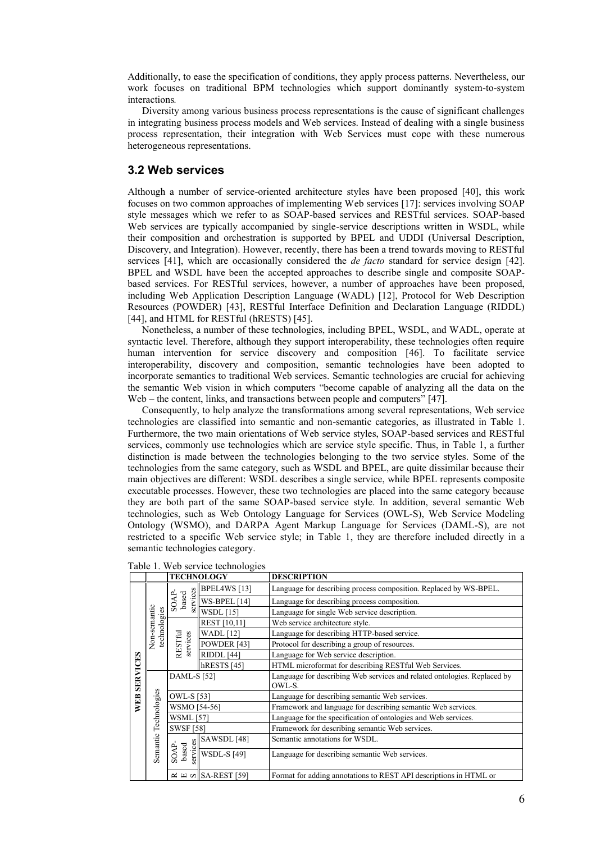Additionally, to ease the specification of conditions, they apply process patterns. Nevertheless, our work focuses on traditional BPM technologies which support dominantly system-to-system interactions*.*

Diversity among various business process representations is the cause of significant challenges in integrating business process models and Web services. Instead of dealing with a single business process representation, their integration with Web Services must cope with these numerous heterogeneous representations.

## **3.2 Web services**

Although a number of service-oriented architecture styles have been proposed [40], this work focuses on two common approaches of implementing Web services [17]: services involving SOAP style messages which we refer to as SOAP-based services and RESTful services. SOAP-based Web services are typically accompanied by single-service descriptions written in WSDL, while their composition and orchestration is supported by BPEL and UDDI (Universal Description, Discovery, and Integration). However, recently, there has been a trend towards moving to RESTful services [41], which are occasionally considered the *de facto* standard for service design [42]. BPEL and WSDL have been the accepted approaches to describe single and composite SOAPbased services. For RESTful services, however, a number of approaches have been proposed, including Web Application Description Language (WADL) [12], Protocol for Web Description Resources (POWDER) [43], RESTful Interface Definition and Declaration Language (RIDDL) [44], and HTML for RESTful (hRESTS) [45].

Nonetheless, a number of these technologies, including BPEL, WSDL, and WADL, operate at syntactic level. Therefore, although they support interoperability, these technologies often require human intervention for service discovery and composition [46]. To facilitate service interoperability, discovery and composition, semantic technologies have been adopted to incorporate semantics to traditional Web services. Semantic technologies are crucial for achieving the semantic Web vision in which computers "become capable of analyzing all the data on the Web – the content, links, and transactions between people and computers" [47].

Consequently, to help analyze the transformations among several representations, Web service technologies are classified into semantic and non-semantic categories, as illustrated in Table 1. Furthermore, the two main orientations of Web service styles, SOAP-based services and RESTful services, commonly use technologies which are service style specific. Thus, in Table 1, a further distinction is made between the technologies belonging to the two service styles. Some of the technologies from the same category, such as WSDL and BPEL, are quite dissimilar because their main objectives are different: WSDL describes a single service, while BPEL represents composite executable processes. However, these two technologies are placed into the same category because they are both part of the same SOAP-based service style. In addition, several semantic Web technologies, such as Web Ontology Language for Services (OWL-S), Web Service Modeling Ontology (WSMO), and DARPA Agent Markup Language for Services (DAML-S), are not restricted to a specific Web service style; in Table 1, they are therefore included directly in a semantic technologies category.

|                 |                              |                                  | <b>TECHNOLOGY</b>                                                    | <b>DESCRIPTION</b>                                                                 |  |
|-----------------|------------------------------|----------------------------------|----------------------------------------------------------------------|------------------------------------------------------------------------------------|--|
|                 |                              |                                  | BPEL4WS [13]                                                         | Language for describing process composition. Replaced by WS-BPEL.                  |  |
|                 |                              | services<br>based<br><b>SOAP</b> | WS-BPEL [14]                                                         | Language for describing process composition.                                       |  |
|                 | Non-semantic<br>technologies |                                  | <b>WSDL</b> [15]                                                     | Language for single Web service description.                                       |  |
|                 |                              |                                  | REST [10,11]                                                         | Web service architecture style.                                                    |  |
|                 |                              |                                  | <b>WADL</b> [12]                                                     | Language for describing HTTP-based service.                                        |  |
|                 |                              | RESTful<br>services              | POWDER [43]                                                          | Protocol for describing a group of resources.                                      |  |
|                 |                              |                                  | <b>RIDDL</b> [44]                                                    | Language for Web service description.                                              |  |
|                 |                              |                                  | hRESTS [45]<br>HTML microformat for describing RESTful Web Services. |                                                                                    |  |
| <b>SERVICES</b> |                              | <b>DAML-S</b> [52]               |                                                                      | Language for describing Web services and related ontologies. Replaced by<br>OWL-S. |  |
|                 | Technologies                 | <b>OWL-S</b> [53]                |                                                                      | Language for describing semantic Web services.                                     |  |
| WEB             |                              | WSMO [54-56]                     |                                                                      | Framework and language for describing semantic Web services.                       |  |
|                 |                              | <b>WSML</b> [57]                 |                                                                      | Language for the specification of ontologies and Web services.                     |  |
|                 |                              | <b>SWSF [58]</b>                 |                                                                      | Framework for describing semantic Web services.                                    |  |
|                 | Semantic                     |                                  | SAWSDL [48]                                                          | Semantic annotations for WSDL.                                                     |  |
|                 |                              | ervices<br>SOAP-<br>based        | <b>WSDL-S [49]</b>                                                   | Language for describing semantic Web services.                                     |  |
|                 |                              |                                  | $\approx$ 띠 이 $\vert$ SA-REST [59]                                   | Format for adding annotations to REST API descriptions in HTML or                  |  |

Table 1. Web service technologies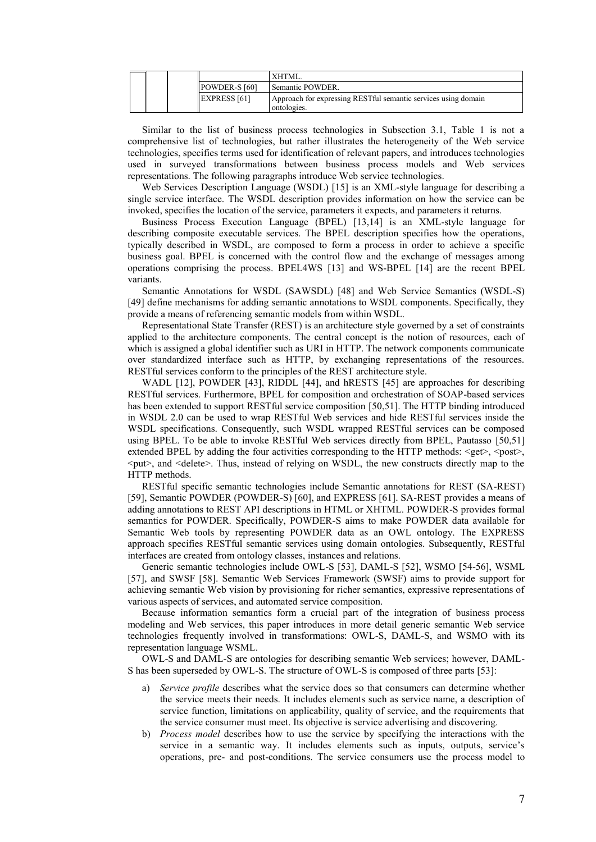|  |                      | XHTML.                                                                        |
|--|----------------------|-------------------------------------------------------------------------------|
|  | POWDER-S [60]        | Semantic POWDER.                                                              |
|  | <b>IEXPRESS [61]</b> | Approach for expressing RESTful semantic services using domain<br>ontologies. |

Similar to the list of business process technologies in Subsection 3.1, Table 1 is not a comprehensive list of technologies, but rather illustrates the heterogeneity of the Web service technologies, specifies terms used for identification of relevant papers, and introduces technologies used in surveyed transformations between business process models and Web services representations. The following paragraphs introduce Web service technologies.

Web Services Description Language (WSDL) [15] is an XML-style language for describing a single service interface. The WSDL description provides information on how the service can be invoked, specifies the location of the service, parameters it expects, and parameters it returns.

Business Process Execution Language (BPEL) [13,14] is an XML-style language for describing composite executable services. The BPEL description specifies how the operations, typically described in WSDL, are composed to form a process in order to achieve a specific business goal. BPEL is concerned with the control flow and the exchange of messages among operations comprising the process. BPEL4WS [13] and WS-BPEL [14] are the recent BPEL variants.

Semantic Annotations for WSDL (SAWSDL) [48] and Web Service Semantics (WSDL-S) [49] define mechanisms for adding semantic annotations to WSDL components. Specifically, they provide a means of referencing semantic models from within WSDL.

Representational State Transfer (REST) is an architecture style governed by a set of constraints applied to the architecture components. The central concept is the notion of resources, each of which is assigned a global identifier such as URI in HTTP. The network components communicate over standardized interface such as HTTP, by exchanging representations of the resources. RESTful services conform to the principles of the REST architecture style.

WADL [12], POWDER [43], RIDDL [44], and hRESTS [45] are approaches for describing RESTful services. Furthermore, BPEL for composition and orchestration of SOAP-based services has been extended to support RESTful service composition [50,51]. The HTTP binding introduced in WSDL 2.0 can be used to wrap RESTful Web services and hide RESTful services inside the WSDL specifications. Consequently, such WSDL wrapped RESTful services can be composed using BPEL. To be able to invoke RESTful Web services directly from BPEL, Pautasso [50,51] extended BPEL by adding the four activities corresponding to the HTTP methods:  $\leq$ get $>$ ,  $\leq$ post $\geq$ ,  $\leq$ put $\geq$ , and  $\leq$ delete $\geq$ . Thus, instead of relying on WSDL, the new constructs directly map to the HTTP methods.

RESTful specific semantic technologies include Semantic annotations for REST (SA-REST) [59], Semantic POWDER (POWDER-S) [60], and EXPRESS [61]. SA-REST provides a means of adding annotations to REST API descriptions in HTML or XHTML. POWDER-S provides formal semantics for POWDER. Specifically, POWDER-S aims to make POWDER data available for Semantic Web tools by representing POWDER data as an OWL ontology. The EXPRESS approach specifies RESTful semantic services using domain ontologies. Subsequently, RESTful interfaces are created from ontology classes, instances and relations.

Generic semantic technologies include OWL-S [53], DAML-S [52], WSMO [54-56], WSML [57], and SWSF [58]. Semantic Web Services Framework (SWSF) aims to provide support for achieving semantic Web vision by provisioning for richer semantics, expressive representations of various aspects of services, and automated service composition.

Because information semantics form a crucial part of the integration of business process modeling and Web services, this paper introduces in more detail generic semantic Web service technologies frequently involved in transformations: OWL-S, DAML-S, and WSMO with its representation language WSML.

OWL-S and DAML-S are ontologies for describing semantic Web services; however, DAML-S has been superseded by OWL-S. The structure of OWL-S is composed of three parts [53]:

- a) *Service profile* describes what the service does so that consumers can determine whether the service meets their needs. It includes elements such as service name, a description of service function, limitations on applicability, quality of service, and the requirements that the service consumer must meet. Its objective is service advertising and discovering.
- b) *Process model* describes how to use the service by specifying the interactions with the service in a semantic way. It includes elements such as inputs, outputs, service's operations, pre- and post-conditions. The service consumers use the process model to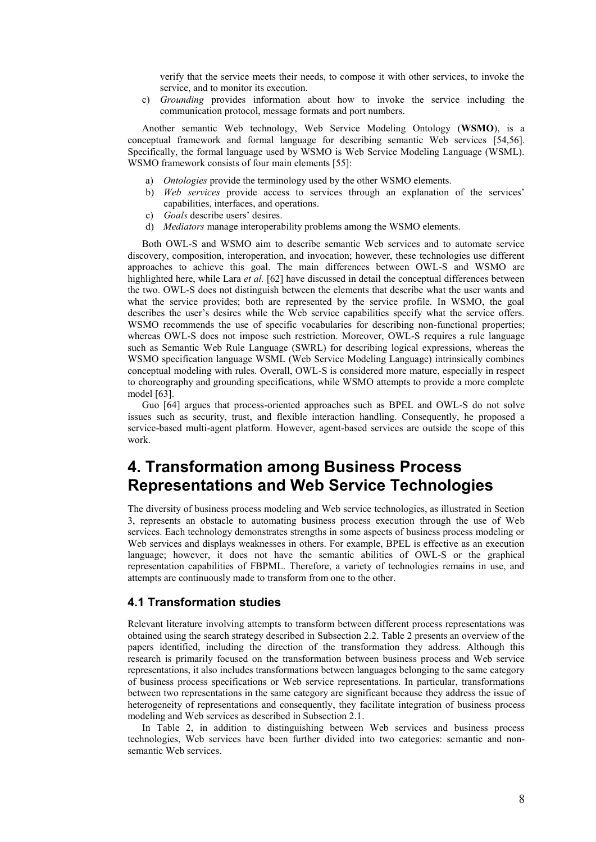verify that the service meets their needs, to compose it with other services, to invoke the service, and to monitor its execution.

c) *Grounding* provides information about how to invoke the service including the communication protocol, message formats and port numbers.

Another semantic Web technology, Web Service Modeling Ontology (**WSMO**), is a conceptual framework and formal language for describing semantic Web services [54,56]. Specifically, the formal language used by WSMO is Web Service Modeling Language (WSML). WSMO framework consists of four main elements [55]:

- a) *Ontologies* provide the terminology used by the other WSMO elements.
- b) *Web services* provide access to services through an explanation of the services' capabilities, interfaces, and operations.
- c) *Goals* describe users' desires.
- d) *Mediators* manage interoperability problems among the WSMO elements.

Both OWL-S and WSMO aim to describe semantic Web services and to automate service discovery, composition, interoperation, and invocation; however, these technologies use different approaches to achieve this goal. The main differences between OWL-S and WSMO are highlighted here, while Lara *et al.* [62] have discussed in detail the conceptual differences between the two. OWL-S does not distinguish between the elements that describe what the user wants and what the service provides; both are represented by the service profile. In WSMO, the goal describes the user's desires while the Web service capabilities specify what the service offers. WSMO recommends the use of specific vocabularies for describing non-functional properties; whereas OWL-S does not impose such restriction. Moreover, OWL-S requires a rule language such as Semantic Web Rule Language (SWRL) for describing logical expressions, whereas the WSMO specification language WSML (Web Service Modeling Language) intrinsically combines conceptual modeling with rules. Overall, OWL-S is considered more mature, especially in respect to choreography and grounding specifications, while WSMO attempts to provide a more complete model [63].

Guo [64] argues that process-oriented approaches such as BPEL and OWL-S do not solve issues such as security, trust, and flexible interaction handling. Consequently, he proposed a service-based multi-agent platform. However, agent-based services are outside the scope of this work.

# **4. Transformation among Business Process Representations and Web Service Technologies**

The diversity of business process modeling and Web service technologies, as illustrated in Section 3, represents an obstacle to automating business process execution through the use of Web services. Each technology demonstrates strengths in some aspects of business process modeling or Web services and displays weaknesses in others. For example, BPEL is effective as an execution language; however, it does not have the semantic abilities of OWL-S or the graphical representation capabilities of FBPML. Therefore, a variety of technologies remains in use, and attempts are continuously made to transform from one to the other.

#### **4.1 Transformation studies**

Relevant literature involving attempts to transform between different process representations was obtained using the search strategy described in Subsection 2.2. Table 2 presents an overview of the papers identified, including the direction of the transformation they address. Although this research is primarily focused on the transformation between business process and Web service representations, it also includes transformations between languages belonging to the same category of business process specifications or Web service representations. In particular, transformations between two representations in the same category are significant because they address the issue of heterogeneity of representations and consequently, they facilitate integration of business process modeling and Web services as described in Subsection 2.1.

In Table 2, in addition to distinguishing between Web services and business process technologies, Web services have been further divided into two categories: semantic and nonsemantic Web services.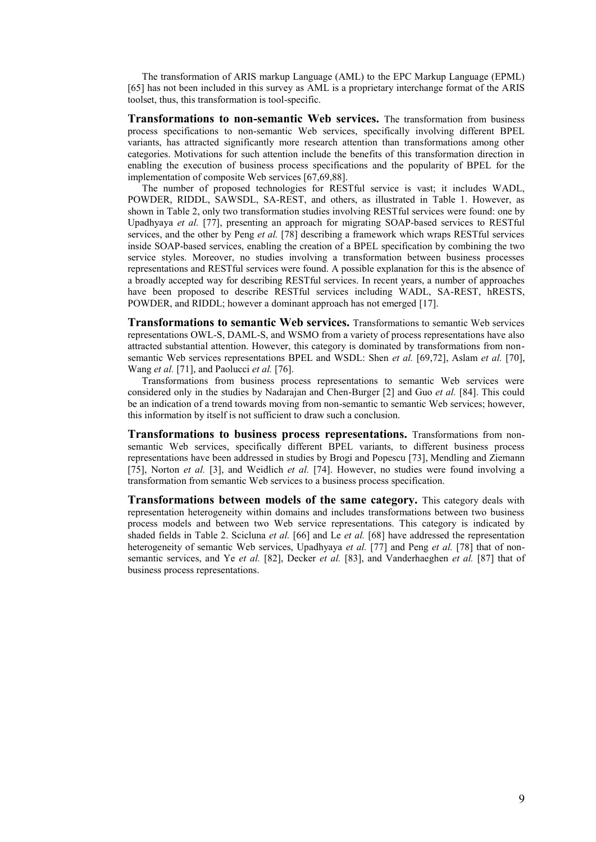The transformation of ARIS markup Language (AML) to the EPC Markup Language (EPML) [65] has not been included in this survey as AML is a proprietary interchange format of the ARIS toolset, thus, this transformation is tool-specific.

**Transformations to non-semantic Web services.** The transformation from business process specifications to non-semantic Web services, specifically involving different BPEL variants, has attracted significantly more research attention than transformations among other categories. Motivations for such attention include the benefits of this transformation direction in enabling the execution of business process specifications and the popularity of BPEL for the implementation of composite Web services [67,69,88].

The number of proposed technologies for RESTful service is vast; it includes WADL, POWDER, RIDDL, SAWSDL, SA-REST, and others, as illustrated in Table 1. However, as shown in Table 2, only two transformation studies involving RESTful services were found: one by Upadhyaya *et al.* [77], presenting an approach for migrating SOAP-based services to RESTful services, and the other by Peng *et al.* [78] describing a framework which wraps RESTful services inside SOAP-based services, enabling the creation of a BPEL specification by combining the two service styles. Moreover, no studies involving a transformation between business processes representations and RESTful services were found. A possible explanation for this is the absence of a broadly accepted way for describing RESTful services. In recent years, a number of approaches have been proposed to describe RESTful services including WADL, SA-REST, hRESTS, POWDER, and RIDDL; however a dominant approach has not emerged [17].

**Transformations to semantic Web services.** Transformations to semantic Web services representations OWL-S, DAML-S, and WSMO from a variety of process representations have also attracted substantial attention. However, this category is dominated by transformations from nonsemantic Web services representations BPEL and WSDL: Shen *et al.* [69,72], Aslam *et al.* [70], Wang *et al.* [71], and Paolucci *et al.* [76].

Transformations from business process representations to semantic Web services were considered only in the studies by Nadarajan and Chen-Burger [2] and Guo *et al.* [84]. This could be an indication of a trend towards moving from non-semantic to semantic Web services; however, this information by itself is not sufficient to draw such a conclusion.

**Transformations to business process representations.** Transformations from nonsemantic Web services, specifically different BPEL variants, to different business process representations have been addressed in studies by Brogi and Popescu [73], Mendling and Ziemann [75], Norton *et al.* [3], and Weidlich *et al.* [74]. However, no studies were found involving a transformation from semantic Web services to a business process specification.

**Transformations between models of the same category.** This category deals with representation heterogeneity within domains and includes transformations between two business process models and between two Web service representations. This category is indicated by shaded fields in Table 2. Scicluna *et al.* [66] and Le *et al.* [68] have addressed the representation heterogeneity of semantic Web services, Upadhyaya *et al.* [77] and Peng *et al.* [78] that of nonsemantic services, and Ye *et al.* [82], Decker *et al.* [83], and Vanderhaeghen *et al.* [87] that of business process representations.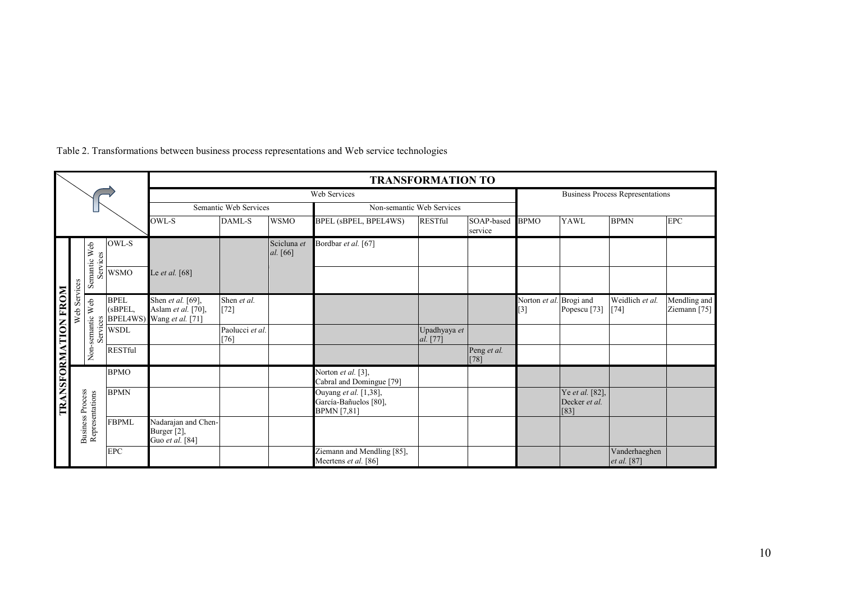|                              |                         |                          |                                                |                                                             | <b>TRANSFORMATION TO</b>  |                                                                         |                                                                      |                           |                       |                                              |                                            |                                       |                              |
|------------------------------|-------------------------|--------------------------|------------------------------------------------|-------------------------------------------------------------|---------------------------|-------------------------------------------------------------------------|----------------------------------------------------------------------|---------------------------|-----------------------|----------------------------------------------|--------------------------------------------|---------------------------------------|------------------------------|
|                              |                         |                          |                                                | Web Services                                                |                           |                                                                         |                                                                      |                           |                       | <b>Business Process Representations</b>      |                                            |                                       |                              |
|                              |                         |                          |                                                |                                                             | Semantic Web Services     |                                                                         |                                                                      | Non-semantic Web Services |                       |                                              |                                            |                                       |                              |
|                              |                         |                          |                                                | OWL-S<br>DAML-S<br><b>WSMO</b>                              |                           | <b>BPEL</b> (sBPEL, BPEL4WS)<br><b>RESTful</b><br>SOAP-based<br>service |                                                                      | <b>BPMO</b>               | <b>YAWL</b>           | <b>BPMN</b>                                  | <b>EPC</b>                                 |                                       |                              |
|                              |                         |                          | OWL-S                                          |                                                             |                           | Scicluna et<br>al. [66]                                                 | Bordbar et al. [67]                                                  |                           |                       |                                              |                                            |                                       |                              |
|                              | Services                | Semantic Web<br>Services | <b>WSMO</b>                                    | Le et al. [68]                                              |                           |                                                                         |                                                                      |                           |                       |                                              |                                            |                                       |                              |
|                              | Web                     | Non-semantic Web<br>Ser  | <b>BPEL</b><br>(sBPEL,<br>$rac{8}{5}$ BPEL4WS) | Shen et al. [69],<br>Aslam et al. [70],<br>Wang et al. [71] | Shen et al.<br>$[72]$     |                                                                         |                                                                      |                           |                       | Norton et al. Brogi and<br>$\lceil 3 \rceil$ | Popescu <sup>[73]</sup>                    | Weidlich et al.<br>$\lceil 74 \rceil$ | Mendling and<br>Ziemann [75] |
|                              |                         |                          | <b>WSDL</b>                                    |                                                             | Paolucci et al.<br>$[76]$ |                                                                         |                                                                      | Upadhyaya et<br>al. [77]  |                       |                                              |                                            |                                       |                              |
|                              |                         |                          | <b>RESTful</b>                                 |                                                             |                           |                                                                         |                                                                      |                           | Peng et al.<br>$[78]$ |                                              |                                            |                                       |                              |
|                              |                         |                          | <b>BPMO</b>                                    |                                                             |                           |                                                                         | Norton et al. [3],<br>Cabral and Domingue [79]                       |                           |                       |                                              |                                            |                                       |                              |
| <b>INONE NOITAMEORNATION</b> | <b>Business Process</b> |                          | <b>BPMN</b>                                    |                                                             |                           |                                                                         | Ouyang et al. [1,38],<br>García-Bañuelos [80],<br><b>BPMN</b> [7,81] |                           |                       |                                              | Ye et al. [82],<br>Decker et al.<br>$[83]$ |                                       |                              |
|                              |                         | Representations          | <b>FBPML</b>                                   | Nadarajan and Chen-<br>Burger [2],<br>Guo et al. [84]       |                           |                                                                         |                                                                      |                           |                       |                                              |                                            |                                       |                              |
|                              |                         |                          | <b>EPC</b>                                     |                                                             |                           |                                                                         | Ziemann and Mendling [85],<br>Meertens et al. [86]                   |                           |                       |                                              |                                            | Vanderhaeghen<br>et al. [87]          |                              |

# Table 2. Transformations between business process representations and Web service technologies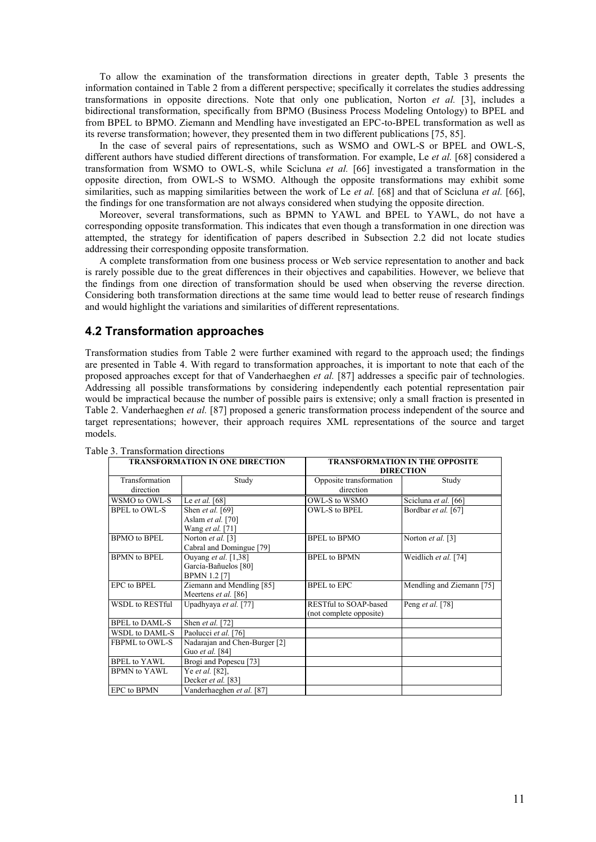To allow the examination of the transformation directions in greater depth, Table 3 presents the information contained in Table 2 from a different perspective; specifically it correlates the studies addressing transformations in opposite directions. Note that only one publication, Norton *et al.* [3], includes a bidirectional transformation, specifically from BPMO (Business Process Modeling Ontology) to BPEL and from BPEL to BPMO. Ziemann and Mendling have investigated an EPC-to-BPEL transformation as well as its reverse transformation; however, they presented them in two different publications [75, 85].

In the case of several pairs of representations, such as WSMO and OWL-S or BPEL and OWL-S, different authors have studied different directions of transformation. For example, Le *et al.* [68] considered a transformation from WSMO to OWL-S, while Scicluna *et al.* [66] investigated a transformation in the opposite direction, from OWL-S to WSMO. Although the opposite transformations may exhibit some similarities, such as mapping similarities between the work of Le *et al.* [68] and that of Scicluna *et al.* [66], the findings for one transformation are not always considered when studying the opposite direction.

Moreover, several transformations, such as BPMN to YAWL and BPEL to YAWL, do not have a corresponding opposite transformation. This indicates that even though a transformation in one direction was attempted, the strategy for identification of papers described in Subsection 2.2 did not locate studies addressing their corresponding opposite transformation.

A complete transformation from one business process or Web service representation to another and back is rarely possible due to the great differences in their objectives and capabilities. However, we believe that the findings from one direction of transformation should be used when observing the reverse direction. Considering both transformation directions at the same time would lead to better reuse of research findings and would highlight the variations and similarities of different representations.

## **4.2 Transformation approaches**

Transformation studies from Table 2 were further examined with regard to the approach used; the findings are presented in Table 4. With regard to transformation approaches, it is important to note that each of the proposed approaches except for that of Vanderhaeghen *et al.* [87] addresses a specific pair of technologies. Addressing all possible transformations by considering independently each potential representation pair would be impractical because the number of possible pairs is extensive; only a small fraction is presented in Table 2. Vanderhaeghen *et al.* [87] proposed a generic transformation process independent of the source and target representations; however, their approach requires XML representations of the source and target models.

|                            | <b>TRANSFORMATION IN ONE DIRECTION</b> | TRANSFORMATION IN THE OPPOSITE |                           |  |  |
|----------------------------|----------------------------------------|--------------------------------|---------------------------|--|--|
|                            |                                        |                                | <b>DIRECTION</b>          |  |  |
| Transformation             | Study                                  | Opposite transformation        | Study                     |  |  |
| direction                  |                                        | direction                      |                           |  |  |
| WSMO to OWL-S              | Le et al. $[68]$                       | OWL-S to WSMO                  | Scicluna et al. [66]      |  |  |
| <b>BPEL</b> to OWL-S       | Shen <i>et al.</i> [69]                | OWL-S to BPEL                  | Bordbar et al. [67]       |  |  |
|                            | Aslam et al. [70]                      |                                |                           |  |  |
|                            | Wang <i>et al.</i> [71]                |                                |                           |  |  |
| <b>BPMO</b> to <b>BPEL</b> | Norton et al. [3]                      | <b>BPEL</b> to <b>BPMO</b>     | Norton et al. [3]         |  |  |
|                            | Cabral and Domingue [79]               |                                |                           |  |  |
| <b>BPMN</b> to <b>BPEL</b> | Ouyang <i>et al.</i> [1,38]            | <b>BPEL</b> to <b>BPMN</b>     | Weidlich et al. [74]      |  |  |
|                            | García-Bañuelos [80]                   |                                |                           |  |  |
|                            | <b>BPMN 1.2 [7]</b>                    |                                |                           |  |  |
| EPC to BPEL                | Ziemann and Mendling [85]              | <b>BPEL</b> to EPC             | Mendling and Ziemann [75] |  |  |
|                            | Meertens et al. [86]                   |                                |                           |  |  |
| <b>WSDL</b> to RESTful     | Upadhyaya et al. [77]                  | <b>RESTful to SOAP-based</b>   | Peng et al. [78]          |  |  |
|                            |                                        | (not complete opposite)        |                           |  |  |
| <b>BPEL</b> to DAML-S      | Shen et al. [72]                       |                                |                           |  |  |
| WSDL to DAML-S             | Paolucci et al. [76]                   |                                |                           |  |  |
| <b>FBPML</b> to OWL-S      | Nadarajan and Chen-Burger [2]          |                                |                           |  |  |
|                            | Guo et al. [84]                        |                                |                           |  |  |
| BPEL to YAWL               | Brogi and Popescu [73]                 |                                |                           |  |  |
| <b>BPMN</b> to YAWL        | Ye <i>et al.</i> [82],                 |                                |                           |  |  |
|                            | Decker et al. [83]                     |                                |                           |  |  |
| <b>EPC</b> to <b>BPMN</b>  | Vanderhaeghen et al. [87]              |                                |                           |  |  |

Table 3. Transformation directions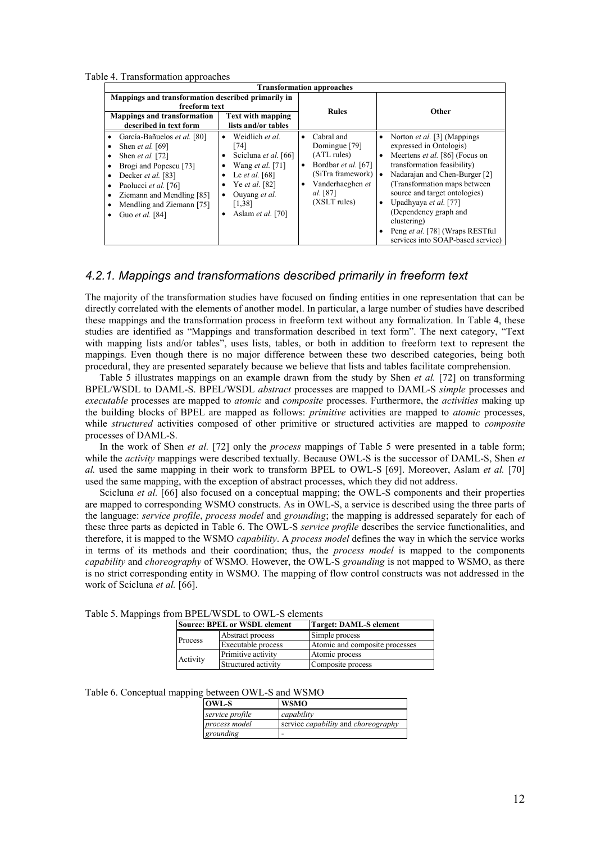Table 4. Transformation approaches

|                                                                                                                                                                                                                                                                                                | <b>Transformation approaches</b>                                                                                                                                                                                                        |                                                                                                                                                          |                                                                                                                                                                                                                                                                                                                                                                                                         |  |  |
|------------------------------------------------------------------------------------------------------------------------------------------------------------------------------------------------------------------------------------------------------------------------------------------------|-----------------------------------------------------------------------------------------------------------------------------------------------------------------------------------------------------------------------------------------|----------------------------------------------------------------------------------------------------------------------------------------------------------|---------------------------------------------------------------------------------------------------------------------------------------------------------------------------------------------------------------------------------------------------------------------------------------------------------------------------------------------------------------------------------------------------------|--|--|
| Mappings and transformation described primarily in<br>freeform text<br><b>Mappings and transformation</b><br>described in text form                                                                                                                                                            | <b>Text with mapping</b><br>lists and/or tables                                                                                                                                                                                         | <b>Rules</b>                                                                                                                                             | Other                                                                                                                                                                                                                                                                                                                                                                                                   |  |  |
| García-Bañuelos et al. [80]<br>٠<br>Shen <i>et al.</i> [69]<br>٠<br>Shen <i>et al.</i> [72]<br>٠<br>Brogi and Popescu <sup>[73]</sup><br>٠<br>Decker et al. [83]<br>٠<br>Paolucci et al. [76]<br>٠<br>Ziemann and Mendling [85]<br>٠<br>Mendling and Ziemann [75]<br>٠<br>Guo et al. [84]<br>٠ | Weidlich et al.<br>$\bullet$<br>[74]<br>Scicluna et al. [66]<br>Wang <i>et al.</i> [71]<br>Le <i>et al.</i> [68]<br>Ye <i>et al.</i> [82]<br>$\bullet$<br>Ouvang et al.<br>$\bullet$<br>[1,38]<br>Aslam <i>et al.</i> [70]<br>$\bullet$ | Cabral and<br>$\bullet$<br>Domingue [79]<br>(ATL rules)<br>Bordbar et al. [67]<br>٠<br>(SiTra framework)<br>Vanderhaeghen et<br>al. [87]<br>(XSLT rules) | Norton et al. [3] (Mappings<br>ó<br>expressed in Ontologis)<br>Meertens et al. [86] (Focus on<br>$\bullet$<br>transformation feasibility)<br>Nadarajan and Chen-Burger [2]<br>(Transformation maps between)<br>source and target ontologies)<br>Upadhyaya et al. [77]<br>٠<br>(Dependency graph and<br>clustering)<br>Peng et al. [78] (Wraps RESTful<br>$\bullet$<br>services into SOAP-based service) |  |  |

## *4.2.1. Mappings and transformations described primarily in freeform text*

The majority of the transformation studies have focused on finding entities in one representation that can be directly correlated with the elements of another model. In particular, a large number of studies have described these mappings and the transformation process in freeform text without any formalization. In Table 4, these studies are identified as "Mappings and transformation described in text form". The next category, "Text with mapping lists and/or tables", uses lists, tables, or both in addition to freeform text to represent the mappings. Even though there is no major difference between these two described categories, being both procedural, they are presented separately because we believe that lists and tables facilitate comprehension.

Table 5 illustrates mappings on an example drawn from the study by Shen *et al.* [72] on transforming BPEL/WSDL to DAML-S. BPEL/WSDL *abstract* processes are mapped to DAML-S *simple* processes and *executable* processes are mapped to *atomic* and *composite* processes. Furthermore, the *activities* making up the building blocks of BPEL are mapped as follows: *primitive* activities are mapped to *atomic* processes, while *structured* activities composed of other primitive or structured activities are mapped to *composite* processes of DAML-S.

In the work of Shen *et al.* [72] only the *process* mappings of Table 5 were presented in a table form; while the *activity* mappings were described textually. Because OWL-S is the successor of DAML-S, Shen *et al.* used the same mapping in their work to transform BPEL to OWL-S [69]. Moreover, Aslam *et al.* [70] used the same mapping, with the exception of abstract processes, which they did not address.

Scicluna *et al.* [66] also focused on a conceptual mapping; the OWL-S components and their properties are mapped to corresponding WSMO constructs. As in OWL-S, a service is described using the three parts of the language: *service profile*, *process model* and *grounding*; the mapping is addressed separately for each of these three parts as depicted in Table 6. The OWL-S *service profile* describes the service functionalities, and therefore, it is mapped to the WSMO *capability*. A *process model* defines the way in which the service works in terms of its methods and their coordination; thus, the *process model* is mapped to the components *capability* and *choreography* of WSMO*.* However, the OWL-S *grounding* is not mapped to WSMO, as there is no strict corresponding entity in WSMO. The mapping of flow control constructs was not addressed in the work of Scicluna *et al.* [66].

| ли рт ерлоре кото и етопичко |          |                                     |                                |  |  |
|------------------------------|----------|-------------------------------------|--------------------------------|--|--|
|                              |          | <b>Source: BPEL or WSDL element</b> | <b>Target: DAML-S element</b>  |  |  |
|                              |          | Abstract process                    | Simple process                 |  |  |
|                              | Process  | Executable process                  | Atomic and composite processes |  |  |
|                              |          | Primitive activity                  | Atomic process                 |  |  |
|                              | Activity | Structured activity                 | Composite process              |  |  |

Table 5. Mappings from BPEL/WSDL to OWL-S elements

|  | Table 6. Conceptual mapping between OWL-S and WSMO |  |  |
|--|----------------------------------------------------|--|--|
|--|----------------------------------------------------|--|--|

| <b>OWL-S</b>    | <b>WSMO</b>                                       |
|-----------------|---------------------------------------------------|
| service profile | capability                                        |
| process model   | service <i>capability</i> and <i>choreography</i> |
| grounding       |                                                   |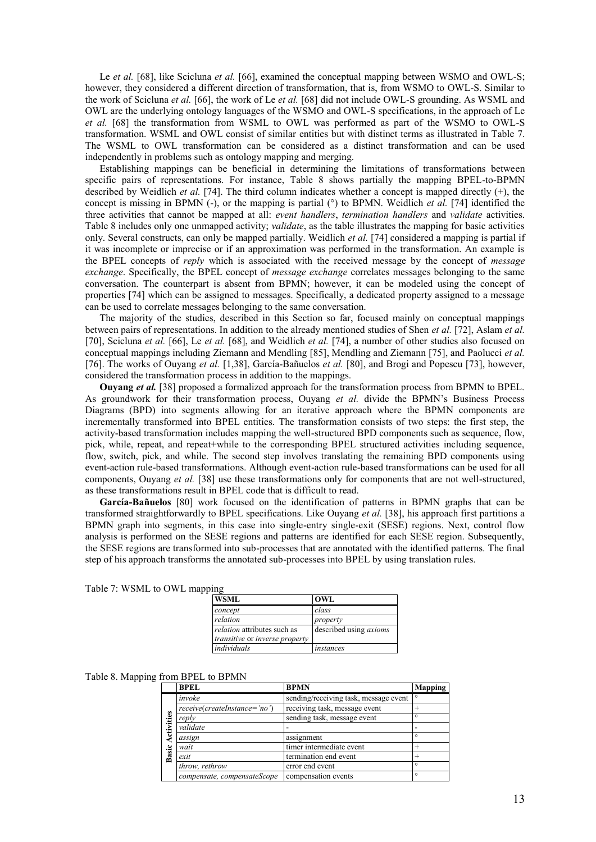Le *et al.* [68], like Scicluna *et al.* [66], examined the conceptual mapping between WSMO and OWL-S; however, they considered a different direction of transformation, that is, from WSMO to OWL-S. Similar to the work of Scicluna *et al.* [66], the work of Le *et al.* [68] did not include OWL-S grounding. As WSML and OWL are the underlying ontology languages of the WSMO and OWL-S specifications, in the approach of Le *et al.* [68] the transformation from WSML to OWL was performed as part of the WSMO to OWL-S transformation. WSML and OWL consist of similar entities but with distinct terms as illustrated in Table 7. The WSML to OWL transformation can be considered as a distinct transformation and can be used independently in problems such as ontology mapping and merging.

Establishing mappings can be beneficial in determining the limitations of transformations between specific pairs of representations. For instance, Table 8 shows partially the mapping BPEL-to-BPMN described by Weidlich *et al.* [74]. The third column indicates whether a concept is mapped directly (+), the concept is missing in BPMN (-), or the mapping is partial (°) to BPMN. Weidlich *et al.* [74] identified the three activities that cannot be mapped at all: *event handlers*, *termination handlers* and *validate* activities. Table 8 includes only one unmapped activity; *validate*, as the table illustrates the mapping for basic activities only. Several constructs, can only be mapped partially. Weidlich *et al.* [74] considered a mapping is partial if it was incomplete or imprecise or if an approximation was performed in the transformation. An example is the BPEL concepts of *reply* which is associated with the received message by the concept of *message exchange*. Specifically, the BPEL concept of *message exchange* correlates messages belonging to the same conversation. The counterpart is absent from BPMN; however, it can be modeled using the concept of properties [74] which can be assigned to messages. Specifically, a dedicated property assigned to a message can be used to correlate messages belonging to the same conversation.

The majority of the studies, described in this Section so far, focused mainly on conceptual mappings between pairs of representations. In addition to the already mentioned studies of Shen *et al.* [72], Aslam *et al.* [70], Scicluna *et al.* [66], Le *et al.* [68], and Weidlich *et al.* [74], a number of other studies also focused on conceptual mappings including Ziemann and Mendling [85], Mendling and Ziemann [75], and Paolucci *et al.* [76]. The works of Ouyang *et al.* [1,38], García-Bañuelos *et al.* [80], and Brogi and Popescu [73], however, considered the transformation process in addition to the mappings.

**Ouyang** *et al.* [38] proposed a formalized approach for the transformation process from BPMN to BPEL. As groundwork for their transformation process, Ouyang *et al.* divide the BPMN's Business Process Diagrams (BPD) into segments allowing for an iterative approach where the BPMN components are incrementally transformed into BPEL entities. The transformation consists of two steps: the first step, the activity-based transformation includes mapping the well-structured BPD components such as sequence, flow, pick, while, repeat, and repeat+while to the corresponding BPEL structured activities including sequence, flow, switch, pick, and while. The second step involves translating the remaining BPD components using event-action rule-based transformations. Although event-action rule-based transformations can be used for all components, Ouyang *et al.* [38] use these transformations only for components that are not well-structured, as these transformations result in BPEL code that is difficult to read.

**García-Bañuelos** [80] work focused on the identification of patterns in BPMN graphs that can be transformed straightforwardly to BPEL specifications. Like Ouyang *et al.* [38], his approach first partitions a BPMN graph into segments, in this case into single-entry single-exit (SESE) regions. Next, control flow analysis is performed on the SESE regions and patterns are identified for each SESE region. Subsequently, the SESE regions are transformed into sub-processes that are annotated with the identified patterns. The final step of his approach transforms the annotated sub-processes into BPEL by using translation rules.

|  |  | Table 7: WSML to OWL mapping |
|--|--|------------------------------|
|  |  |                              |

| <b>WSML</b>                                                                        | OWL                           |
|------------------------------------------------------------------------------------|-------------------------------|
| concept                                                                            | class                         |
| relation                                                                           | property                      |
| <i>relation</i> attributes such as<br><i>transitive</i> or <i>inverse</i> property | described using <i>axioms</i> |
| individuals                                                                        | instances                     |

#### Table 8. Mapping from BPEL to BPMN

|                    | <b>BPEL</b>                  | <b>BPMN</b>                           | <b>Mapping</b> |
|--------------------|------------------------------|---------------------------------------|----------------|
|                    | invoke                       | sending/receiving task, message event | $\circ$        |
| ctivities<br>Basic | receive(createInstance='no') | receiving task, message event         | $^{+}$         |
|                    | reply                        | sending task, message event           | $\circ$        |
|                    | validate                     |                                       |                |
|                    | assign                       | assignment                            | $\circ$        |
|                    | wait                         | timer intermediate event              |                |
|                    | exit                         | termination end event                 |                |
|                    | throw, rethrow               | error end event                       | $\circ$        |
|                    | compensate, compensateScope  | compensation events                   | $\circ$        |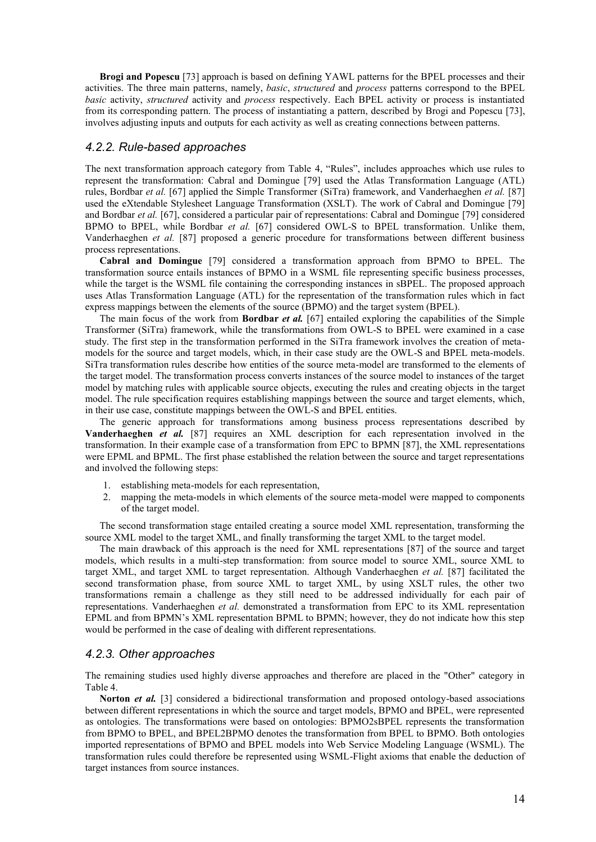**Brogi and Popescu** [73] approach is based on defining YAWL patterns for the BPEL processes and their activities. The three main patterns, namely, *basic*, *structured* and *process* patterns correspond to the BPEL *basic* activity, *structured* activity and *process* respectively. Each BPEL activity or process is instantiated from its corresponding pattern. The process of instantiating a pattern, described by Brogi and Popescu [73], involves adjusting inputs and outputs for each activity as well as creating connections between patterns.

#### *4.2.2. Rule-based approaches*

The next transformation approach category from Table 4, "Rules", includes approaches which use rules to represent the transformation: Cabral and Domingue [79] used the Atlas Transformation Language (ATL) rules, Bordbar *et al.* [67] applied the Simple Transformer (SiTra) framework, and Vanderhaeghen *et al.* [87] used the eXtendable Stylesheet Language Transformation (XSLT). The work of Cabral and Domingue [79] and Bordbar *et al.* [67], considered a particular pair of representations: Cabral and Domingue [79] considered BPMO to BPEL, while Bordbar *et al.* [67] considered OWL-S to BPEL transformation. Unlike them, Vanderhaeghen *et al.* [87] proposed a generic procedure for transformations between different business process representations.

**Cabral and Domingue** [79] considered a transformation approach from BPMO to BPEL. The transformation source entails instances of BPMO in a WSML file representing specific business processes, while the target is the WSML file containing the corresponding instances in sBPEL. The proposed approach uses Atlas Transformation Language (ATL) for the representation of the transformation rules which in fact express mappings between the elements of the source (BPMO) and the target system (BPEL).

The main focus of the work from **Bordbar** *et al.* [67] entailed exploring the capabilities of the Simple Transformer (SiTra) framework, while the transformations from OWL-S to BPEL were examined in a case study. The first step in the transformation performed in the SiTra framework involves the creation of metamodels for the source and target models, which, in their case study are the OWL-S and BPEL meta-models. SiTra transformation rules describe how entities of the source meta-model are transformed to the elements of the target model. The transformation process converts instances of the source model to instances of the target model by matching rules with applicable source objects, executing the rules and creating objects in the target model. The rule specification requires establishing mappings between the source and target elements, which, in their use case, constitute mappings between the OWL-S and BPEL entities.

The generic approach for transformations among business process representations described by **Vanderhaeghen** *et al.* [87] requires an XML description for each representation involved in the transformation. In their example case of a transformation from EPC to BPMN [87], the XML representations were EPML and BPML. The first phase established the relation between the source and target representations and involved the following steps:

- 1. establishing meta-models for each representation,
- 2. mapping the meta-models in which elements of the source meta-model were mapped to components of the target model.

The second transformation stage entailed creating a source model XML representation, transforming the source XML model to the target XML, and finally transforming the target XML to the target model.

The main drawback of this approach is the need for XML representations [87] of the source and target models, which results in a multi-step transformation: from source model to source XML, source XML to target XML, and target XML to target representation. Although Vanderhaeghen *et al.* [87] facilitated the second transformation phase, from source XML to target XML, by using XSLT rules, the other two transformations remain a challenge as they still need to be addressed individually for each pair of representations. Vanderhaeghen *et al.* demonstrated a transformation from EPC to its XML representation EPML and from BPMN's XML representation BPML to BPMN; however, they do not indicate how this step would be performed in the case of dealing with different representations.

#### *4.2.3. Other approaches*

The remaining studies used highly diverse approaches and therefore are placed in the "Other" category in Table 4.

**Norton** *et al.* [3] considered a bidirectional transformation and proposed ontology-based associations between different representations in which the source and target models, BPMO and BPEL, were represented as ontologies. The transformations were based on ontologies: BPMO2sBPEL represents the transformation from BPMO to BPEL, and BPEL2BPMO denotes the transformation from BPEL to BPMO. Both ontologies imported representations of BPMO and BPEL models into Web Service Modeling Language (WSML). The transformation rules could therefore be represented using WSML-Flight axioms that enable the deduction of target instances from source instances.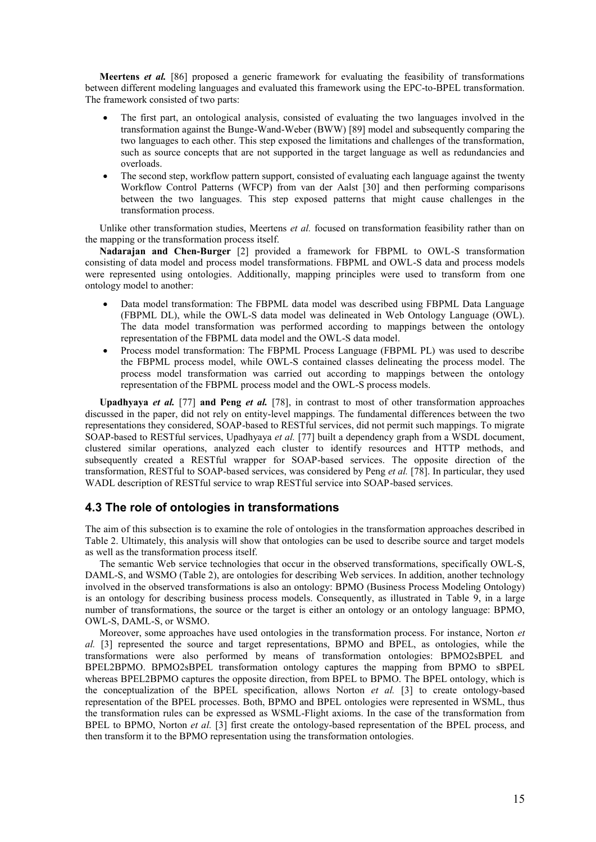**Meertens** *et al.* [86] proposed a generic framework for evaluating the feasibility of transformations between different modeling languages and evaluated this framework using the EPC-to-BPEL transformation. The framework consisted of two parts:

- The first part, an ontological analysis, consisted of evaluating the two languages involved in the transformation against the Bunge-Wand-Weber (BWW) [89] model and subsequently comparing the two languages to each other. This step exposed the limitations and challenges of the transformation, such as source concepts that are not supported in the target language as well as redundancies and overloads.
- The second step, workflow pattern support, consisted of evaluating each language against the twenty Workflow Control Patterns (WFCP) from van der Aalst [30] and then performing comparisons between the two languages. This step exposed patterns that might cause challenges in the transformation process.

Unlike other transformation studies, Meertens *et al.* focused on transformation feasibility rather than on the mapping or the transformation process itself.

**Nadarajan and Chen-Burger** [2] provided a framework for FBPML to OWL-S transformation consisting of data model and process model transformations. FBPML and OWL-S data and process models were represented using ontologies. Additionally, mapping principles were used to transform from one ontology model to another:

- Data model transformation: The FBPML data model was described using FBPML Data Language (FBPML DL), while the OWL-S data model was delineated in Web Ontology Language (OWL). The data model transformation was performed according to mappings between the ontology representation of the FBPML data model and the OWL-S data model.
- Process model transformation: The FBPML Process Language (FBPML PL) was used to describe the FBPML process model, while OWL-S contained classes delineating the process model. The process model transformation was carried out according to mappings between the ontology representation of the FBPML process model and the OWL-S process models.

**Upadhyaya** *et al.* [77] **and Peng** *et al.* [78], in contrast to most of other transformation approaches discussed in the paper, did not rely on entity-level mappings. The fundamental differences between the two representations they considered, SOAP-based to RESTful services, did not permit such mappings. To migrate SOAP-based to RESTful services, Upadhyaya *et al.* [77] built a dependency graph from a WSDL document, clustered similar operations, analyzed each cluster to identify resources and HTTP methods, and subsequently created a RESTful wrapper for SOAP-based services. The opposite direction of the transformation, RESTful to SOAP-based services, was considered by Peng *et al.* [78]. In particular, they used WADL description of RESTful service to wrap RESTful service into SOAP-based services.

## **4.3 The role of ontologies in transformations**

The aim of this subsection is to examine the role of ontologies in the transformation approaches described in Table 2. Ultimately, this analysis will show that ontologies can be used to describe source and target models as well as the transformation process itself.

The semantic Web service technologies that occur in the observed transformations, specifically OWL-S, DAML-S, and WSMO (Table 2), are ontologies for describing Web services. In addition, another technology involved in the observed transformations is also an ontology: BPMO (Business Process Modeling Ontology) is an ontology for describing business process models. Consequently, as illustrated in Table 9, in a large number of transformations, the source or the target is either an ontology or an ontology language: BPMO, OWL-S, DAML-S, or WSMO.

Moreover, some approaches have used ontologies in the transformation process. For instance, Norton *et al.* [3] represented the source and target representations, BPMO and BPEL, as ontologies, while the transformations were also performed by means of transformation ontologies: BPMO2sBPEL and BPEL2BPMO. BPMO2sBPEL transformation ontology captures the mapping from BPMO to sBPEL whereas BPEL2BPMO captures the opposite direction, from BPEL to BPMO. The BPEL ontology, which is the conceptualization of the BPEL specification, allows Norton *et al.* [3] to create ontology-based representation of the BPEL processes. Both, BPMO and BPEL ontologies were represented in WSML, thus the transformation rules can be expressed as WSML-Flight axioms. In the case of the transformation from BPEL to BPMO, Norton *et al.* [3] first create the ontology-based representation of the BPEL process, and then transform it to the BPMO representation using the transformation ontologies.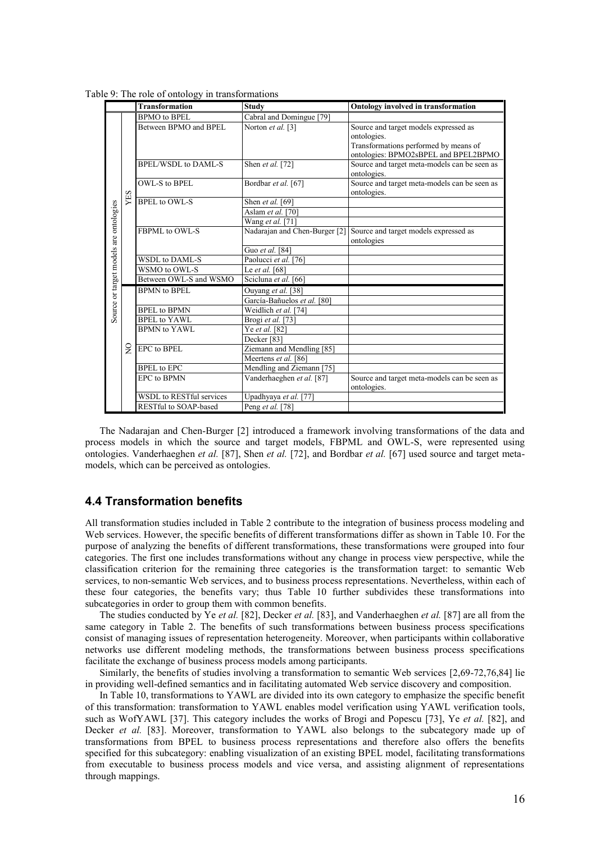Table 9: The role of ontology in transformations

|                                        |               | <b>Transformation</b>           | <b>Study</b>                  | <b>Ontology involved in transformation</b>                                                                                            |
|----------------------------------------|---------------|---------------------------------|-------------------------------|---------------------------------------------------------------------------------------------------------------------------------------|
|                                        |               | <b>BPMO</b> to <b>BPEL</b>      | Cabral and Domingue [79]      |                                                                                                                                       |
|                                        |               | Between BPMO and BPEL           | Norton et al. [3]             | Source and target models expressed as<br>ontologies.<br>Transformations performed by means of<br>ontologies: BPMO2sBPEL and BPEL2BPMO |
|                                        |               | <b>BPEL/WSDL to DAML-S</b>      | Shen et al. [72]              | Source and target meta-models can be seen as<br>ontologies.                                                                           |
|                                        |               | OWL-S to BPEL                   | Bordbar et al. [67]           | Source and target meta-models can be seen as<br>ontologies.                                                                           |
|                                        | YES           | <b>BPEL</b> to OWL-S            | Shen et al. [69]              |                                                                                                                                       |
|                                        |               |                                 | Aslam et al. [70]             |                                                                                                                                       |
|                                        |               |                                 | Wang et al. [71]              |                                                                                                                                       |
| Source or target models are ontologies |               | FBPML to OWL-S                  | Nadarajan and Chen-Burger [2] | Source and target models expressed as<br>ontologies                                                                                   |
|                                        |               |                                 | Guo et al. [84]               |                                                                                                                                       |
|                                        |               | WSDL to DAML-S                  | Paolucci et al. [76]          |                                                                                                                                       |
|                                        |               | WSMO to OWL-S                   | Le et al. [68]                |                                                                                                                                       |
|                                        |               | Between OWL-S and WSMO          | Scicluna et al. [66]          |                                                                                                                                       |
|                                        |               | <b>BPMN</b> to <b>BPEL</b>      | Ouyang et al. [38]            |                                                                                                                                       |
|                                        |               |                                 | García-Bañuelos et al. [80]   |                                                                                                                                       |
|                                        |               | <b>BPEL</b> to <b>BPMN</b>      | Weidlich et al. [74]          |                                                                                                                                       |
|                                        |               | <b>BPEL</b> to YAWL             | Brogi et al. [73]             |                                                                                                                                       |
|                                        |               | <b>BPMN</b> to YAWL             | Ye et al. [82]                |                                                                                                                                       |
|                                        |               |                                 | Decker <sup>[83]</sup>        |                                                                                                                                       |
|                                        | $\frac{1}{2}$ | <b>EPC</b> to <b>BPEL</b>       | Ziemann and Mendling [85]     |                                                                                                                                       |
|                                        |               |                                 | Meertens et al. [86]          |                                                                                                                                       |
|                                        |               | <b>BPEL</b> to EPC              | Mendling and Ziemann [75]     |                                                                                                                                       |
|                                        |               | <b>EPC</b> to <b>BPMN</b>       | Vanderhaeghen et al. [87]     | Source and target meta-models can be seen as<br>ontologies.                                                                           |
|                                        |               | <b>WSDL</b> to RESTful services | Upadhyaya et al. [77]         |                                                                                                                                       |
|                                        |               | RESTful to SOAP-based           | Peng et al. [78]              |                                                                                                                                       |

The Nadarajan and Chen-Burger [2] introduced a framework involving transformations of the data and process models in which the source and target models, FBPML and OWL-S, were represented using ontologies. Vanderhaeghen *et al.* [87], Shen *et al.* [72], and Bordbar *et al.* [67] used source and target metamodels, which can be perceived as ontologies.

## **4.4 Transformation benefits**

All transformation studies included in Table 2 contribute to the integration of business process modeling and Web services. However, the specific benefits of different transformations differ as shown in Table 10. For the purpose of analyzing the benefits of different transformations, these transformations were grouped into four categories. The first one includes transformations without any change in process view perspective, while the classification criterion for the remaining three categories is the transformation target: to semantic Web services, to non-semantic Web services, and to business process representations. Nevertheless, within each of these four categories, the benefits vary; thus Table 10 further subdivides these transformations into subcategories in order to group them with common benefits.

The studies conducted by Ye *et al.* [82], Decker *et al.* [83], and Vanderhaeghen *et al.* [87] are all from the same category in Table 2. The benefits of such transformations between business process specifications consist of managing issues of representation heterogeneity. Moreover, when participants within collaborative networks use different modeling methods, the transformations between business process specifications facilitate the exchange of business process models among participants.

Similarly, the benefits of studies involving a transformation to semantic Web services [2,69-72,76,84] lie in providing well-defined semantics and in facilitating automated Web service discovery and composition.

In Table 10, transformations to YAWL are divided into its own category to emphasize the specific benefit of this transformation: transformation to YAWL enables model verification using YAWL verification tools, such as WofYAWL [37]. This category includes the works of Brogi and Popescu [73], Ye *et al.* [82], and Decker *et al.* [83]. Moreover, transformation to YAWL also belongs to the subcategory made up of transformations from BPEL to business process representations and therefore also offers the benefits specified for this subcategory: enabling visualization of an existing BPEL model, facilitating transformations from executable to business process models and vice versa, and assisting alignment of representations through mappings.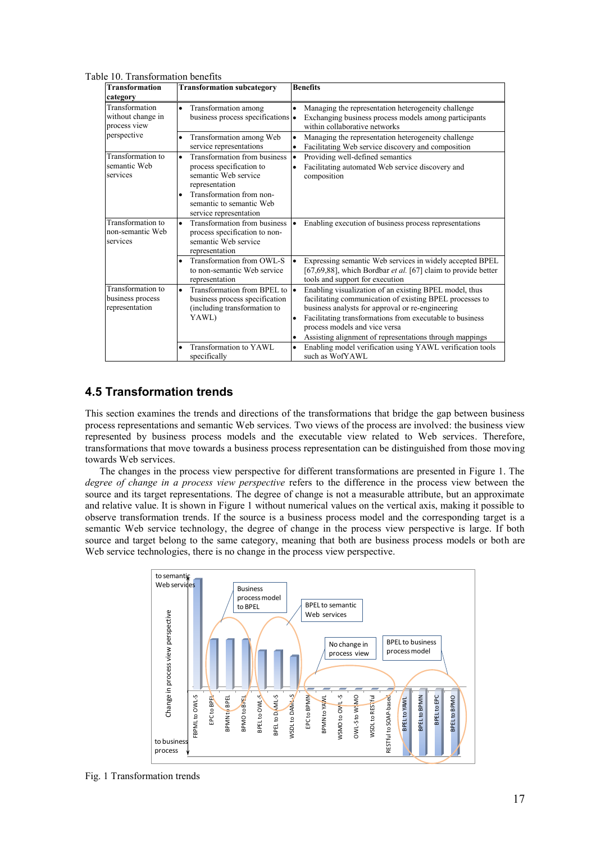| с то. ттанзіогінанон осненіз<br><b>Transformation</b>                          |                                                                                                                                                                                                                |                                                                                                                                                                                                                                                                                                                                                          |
|--------------------------------------------------------------------------------|----------------------------------------------------------------------------------------------------------------------------------------------------------------------------------------------------------------|----------------------------------------------------------------------------------------------------------------------------------------------------------------------------------------------------------------------------------------------------------------------------------------------------------------------------------------------------------|
|                                                                                | <b>Transformation subcategory</b>                                                                                                                                                                              | <b>Benefits</b>                                                                                                                                                                                                                                                                                                                                          |
| category<br>Transformation<br>without change in<br>process view<br>perspective | Transformation among<br>$\bullet$<br>business process specifications •                                                                                                                                         | Managing the representation heterogeneity challenge<br>$\bullet$<br>Exchanging business process models among participants<br>within collaborative networks                                                                                                                                                                                               |
|                                                                                | Transformation among Web<br>service representations                                                                                                                                                            | Managing the representation heterogeneity challenge<br>$\bullet$<br>Facilitating Web service discovery and composition                                                                                                                                                                                                                                   |
| Transformation to<br>semantic Web<br>services                                  | Transformation from business<br>$\bullet$<br>process specification to<br>semantic Web service<br>representation<br>Transformation from non-<br>$\bullet$<br>semantic to semantic Web<br>service representation | Providing well-defined semantics<br>I۰<br>Facilitating automated Web service discovery and<br>composition                                                                                                                                                                                                                                                |
| Transformation to<br>non-semantic Web<br>services                              | Transformation from business<br>$\bullet$<br>process specification to non-<br>semantic Web service<br>representation                                                                                           | Enabling execution of business process representations                                                                                                                                                                                                                                                                                                   |
|                                                                                | Transformation from OWL-S<br>to non-semantic Web service<br>representation                                                                                                                                     | Expressing semantic Web services in widely accepted BPEL<br>[67,69,88], which Bordbar et al. [67] claim to provide better<br>tools and support for execution                                                                                                                                                                                             |
| Transformation to<br>business process<br>representation                        | Transformation from BPEL to $\bullet$<br>$\bullet$<br>business process specification<br>(including transformation to<br>YAWL)                                                                                  | Enabling visualization of an existing BPEL model, thus<br>facilitating communication of existing BPEL processes to<br>business analysts for approval or re-engineering<br>Facilitating transformations from executable to business<br>$\bullet$<br>process models and vice versa<br>Assisting alignment of representations through mappings<br>$\bullet$ |
|                                                                                | Transformation to YAWL<br>specifically                                                                                                                                                                         | Enabling model verification using YAWL verification tools<br>$\bullet$<br>such as WofYAWL                                                                                                                                                                                                                                                                |

Table 10. Transformation benefits

## **4.5 Transformation trends**

This section examines the trends and directions of the transformations that bridge the gap between business process representations and semantic Web services. Two views of the process are involved: the business view represented by business process models and the executable view related to Web services. Therefore, transformations that move towards a business process representation can be distinguished from those moving towards Web services.

The changes in the process view perspective for different transformations are presented in Figure 1. The *degree of change in a process view perspective* refers to the difference in the process view between the source and its target representations. The degree of change is not a measurable attribute, but an approximate and relative value. It is shown in Figure 1 without numerical values on the vertical axis, making it possible to observe transformation trends. If the source is a business process model and the corresponding target is a semantic Web service technology, the degree of change in the process view perspective is large. If both source and target belong to the same category, meaning that both are business process models or both are Web service technologies, there is no change in the process view perspective.

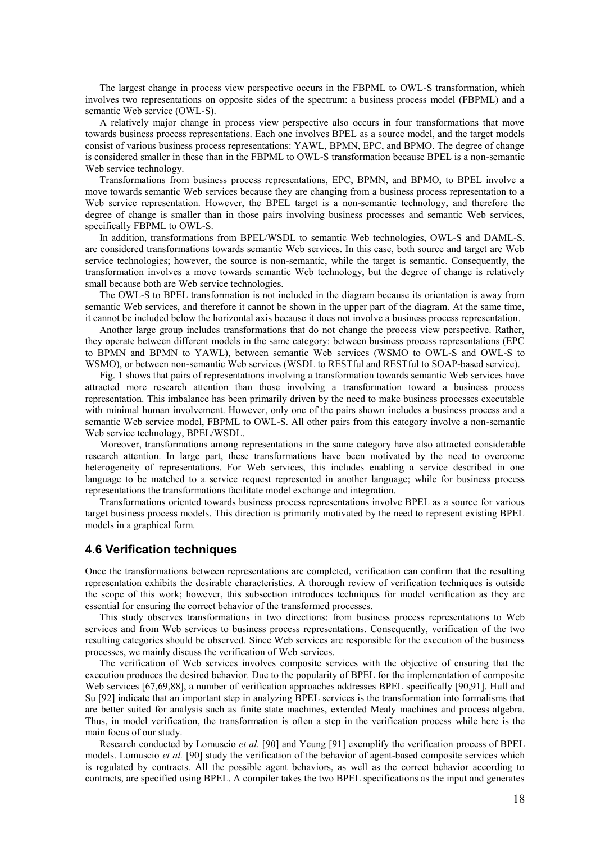The largest change in process view perspective occurs in the FBPML to OWL-S transformation, which involves two representations on opposite sides of the spectrum: a business process model (FBPML) and a semantic Web service (OWL-S).

A relatively major change in process view perspective also occurs in four transformations that move towards business process representations. Each one involves BPEL as a source model, and the target models consist of various business process representations: YAWL, BPMN, EPC, and BPMO. The degree of change is considered smaller in these than in the FBPML to OWL-S transformation because BPEL is a non-semantic Web service technology.

Transformations from business process representations, EPC, BPMN, and BPMO, to BPEL involve a move towards semantic Web services because they are changing from a business process representation to a Web service representation. However, the BPEL target is a non-semantic technology, and therefore the degree of change is smaller than in those pairs involving business processes and semantic Web services, specifically FBPML to OWL-S.

In addition, transformations from BPEL/WSDL to semantic Web technologies, OWL-S and DAML-S, are considered transformations towards semantic Web services. In this case, both source and target are Web service technologies; however, the source is non-semantic, while the target is semantic. Consequently, the transformation involves a move towards semantic Web technology, but the degree of change is relatively small because both are Web service technologies.

The OWL-S to BPEL transformation is not included in the diagram because its orientation is away from semantic Web services, and therefore it cannot be shown in the upper part of the diagram. At the same time, it cannot be included below the horizontal axis because it does not involve a business process representation.

Another large group includes transformations that do not change the process view perspective. Rather, they operate between different models in the same category: between business process representations (EPC to BPMN and BPMN to YAWL), between semantic Web services (WSMO to OWL-S and OWL-S to WSMO), or between non-semantic Web services (WSDL to RESTful and RESTful to SOAP-based service).

Fig. 1 shows that pairs of representations involving a transformation towards semantic Web services have attracted more research attention than those involving a transformation toward a business process representation. This imbalance has been primarily driven by the need to make business processes executable with minimal human involvement. However, only one of the pairs shown includes a business process and a semantic Web service model, FBPML to OWL-S. All other pairs from this category involve a non-semantic Web service technology, BPEL/WSDL.

Moreover, transformations among representations in the same category have also attracted considerable research attention. In large part, these transformations have been motivated by the need to overcome heterogeneity of representations. For Web services, this includes enabling a service described in one language to be matched to a service request represented in another language; while for business process representations the transformations facilitate model exchange and integration.

Transformations oriented towards business process representations involve BPEL as a source for various target business process models. This direction is primarily motivated by the need to represent existing BPEL models in a graphical form.

#### **4.6 Verification techniques**

Once the transformations between representations are completed, verification can confirm that the resulting representation exhibits the desirable characteristics. A thorough review of verification techniques is outside the scope of this work; however, this subsection introduces techniques for model verification as they are essential for ensuring the correct behavior of the transformed processes.

This study observes transformations in two directions: from business process representations to Web services and from Web services to business process representations. Consequently, verification of the two resulting categories should be observed. Since Web services are responsible for the execution of the business processes, we mainly discuss the verification of Web services.

The verification of Web services involves composite services with the objective of ensuring that the execution produces the desired behavior. Due to the popularity of BPEL for the implementation of composite Web services [67,69,88], a number of verification approaches addresses BPEL specifically [90,91]. Hull and Su [92] indicate that an important step in analyzing BPEL services is the transformation into formalisms that are better suited for analysis such as finite state machines, extended Mealy machines and process algebra. Thus, in model verification, the transformation is often a step in the verification process while here is the main focus of our study.

Research conducted by Lomuscio *et al.* [90] and Yeung [91] exemplify the verification process of BPEL models. Lomuscio *et al.* [90] study the verification of the behavior of agent-based composite services which is regulated by contracts. All the possible agent behaviors, as well as the correct behavior according to contracts, are specified using BPEL. A compiler takes the two BPEL specifications as the input and generates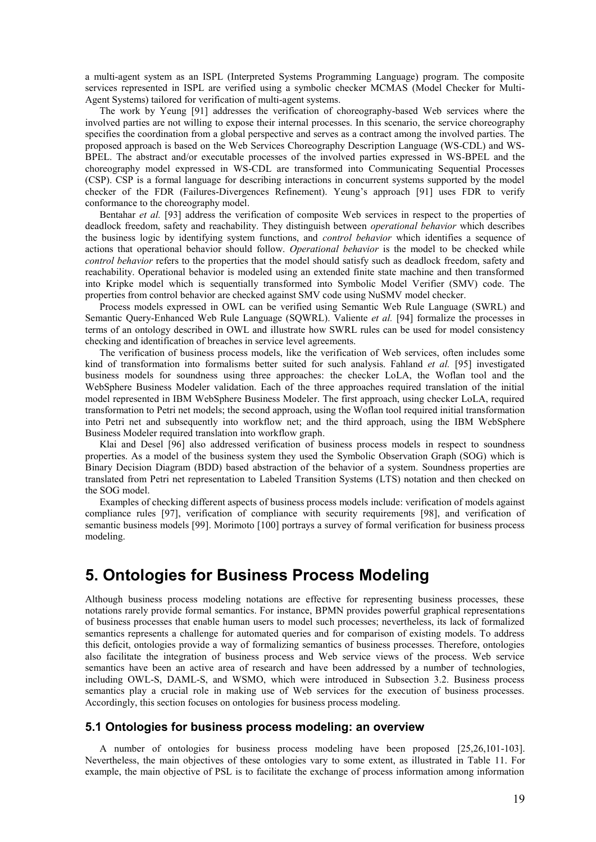a multi-agent system as an ISPL (Interpreted Systems Programming Language) program. The composite services represented in ISPL are verified using a symbolic checker MCMAS (Model Checker for Multi-Agent Systems) tailored for verification of multi-agent systems.

The work by Yeung [91] addresses the verification of choreography-based Web services where the involved parties are not willing to expose their internal processes. In this scenario, the service choreography specifies the coordination from a global perspective and serves as a contract among the involved parties. The proposed approach is based on the Web Services Choreography Description Language (WS-CDL) and WS-BPEL. The abstract and/or executable processes of the involved parties expressed in WS-BPEL and the choreography model expressed in WS-CDL are transformed into Communicating Sequential Processes (CSP). CSP is a formal language for describing interactions in concurrent systems supported by the model checker of the FDR (Failures-Divergences Refinement). Yeung's approach [91] uses FDR to verify conformance to the choreography model.

Bentahar *et al.* [93] address the verification of composite Web services in respect to the properties of deadlock freedom, safety and reachability. They distinguish between *operational behavior* which describes the business logic by identifying system functions, and *control behavior* which identifies a sequence of actions that operational behavior should follow. *Operational behavior* is the model to be checked while *control behavior* refers to the properties that the model should satisfy such as deadlock freedom, safety and reachability. Operational behavior is modeled using an extended finite state machine and then transformed into Kripke model which is sequentially transformed into Symbolic Model Verifier (SMV) code. The properties from control behavior are checked against SMV code using NuSMV model checker.

Process models expressed in OWL can be verified using Semantic Web Rule Language (SWRL) and Semantic Query-Enhanced Web Rule Language (SQWRL). Valiente *et al.* [94] formalize the processes in terms of an ontology described in OWL and illustrate how SWRL rules can be used for model consistency checking and identification of breaches in service level agreements.

The verification of business process models, like the verification of Web services, often includes some kind of transformation into formalisms better suited for such analysis. Fahland *et al.* [95] investigated business models for soundness using three approaches: the checker LoLA, the Woflan tool and the WebSphere Business Modeler validation. Each of the three approaches required translation of the initial model represented in IBM WebSphere Business Modeler. The first approach, using checker LoLA, required transformation to Petri net models; the second approach, using the Woflan tool required initial transformation into Petri net and subsequently into workflow net; and the third approach, using the IBM WebSphere Business Modeler required translation into workflow graph.

Klai and Desel [96] also addressed verification of business process models in respect to soundness properties. As a model of the business system they used the Symbolic Observation Graph (SOG) which is Binary Decision Diagram (BDD) based abstraction of the behavior of a system. Soundness properties are translated from Petri net representation to Labeled Transition Systems (LTS) notation and then checked on the SOG model.

Examples of checking different aspects of business process models include: verification of models against compliance rules [97], verification of compliance with security requirements [98], and verification of semantic business models [99]. Morimoto [100] portrays a survey of formal verification for business process modeling.

# **5. Ontologies for Business Process Modeling**

Although business process modeling notations are effective for representing business processes, these notations rarely provide formal semantics. For instance, BPMN provides powerful graphical representations of business processes that enable human users to model such processes; nevertheless, its lack of formalized semantics represents a challenge for automated queries and for comparison of existing models. To address this deficit, ontologies provide a way of formalizing semantics of business processes. Therefore, ontologies also facilitate the integration of business process and Web service views of the process. Web service semantics have been an active area of research and have been addressed by a number of technologies, including OWL-S, DAML-S, and WSMO, which were introduced in Subsection 3.2. Business process semantics play a crucial role in making use of Web services for the execution of business processes. Accordingly, this section focuses on ontologies for business process modeling.

## **5.1 Ontologies for business process modeling: an overview**

A number of ontologies for business process modeling have been proposed [25,26,101-103]. Nevertheless, the main objectives of these ontologies vary to some extent, as illustrated in Table 11. For example, the main objective of PSL is to facilitate the exchange of process information among information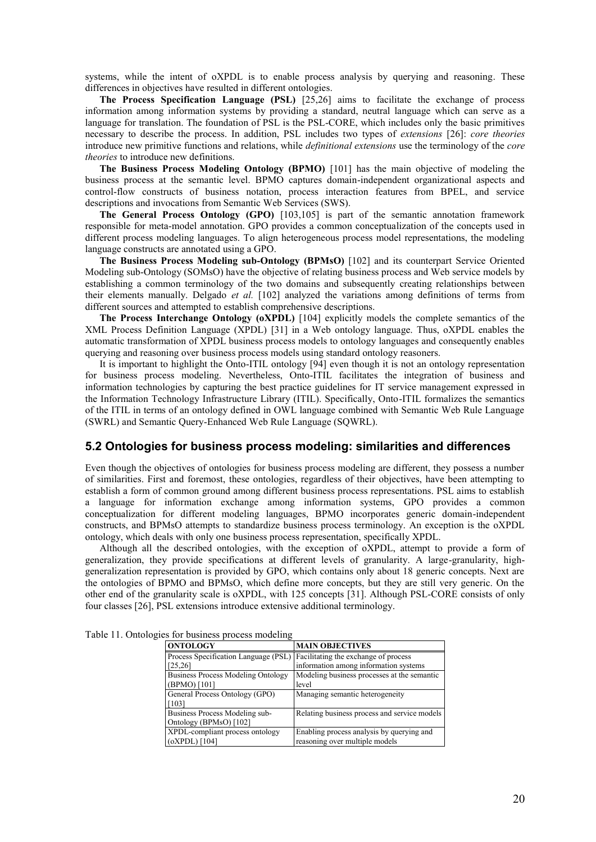systems, while the intent of oXPDL is to enable process analysis by querying and reasoning. These differences in objectives have resulted in different ontologies.

**The Process Specification Language (PSL)** [25,26] aims to facilitate the exchange of process information among information systems by providing a standard, neutral language which can serve as a language for translation. The foundation of PSL is the PSL-CORE, which includes only the basic primitives necessary to describe the process. In addition, PSL includes two types of *extensions* [26]: *core theories* introduce new primitive functions and relations, while *definitional extensions* use the terminology of the *core theories* to introduce new definitions.

**The Business Process Modeling Ontology (BPMO)** [101] has the main objective of modeling the business process at the semantic level. BPMO captures domain-independent organizational aspects and control-flow constructs of business notation, process interaction features from BPEL, and service descriptions and invocations from Semantic Web Services (SWS).

**The General Process Ontology (GPO)** [103,105] is part of the semantic annotation framework responsible for meta-model annotation. GPO provides a common conceptualization of the concepts used in different process modeling languages. To align heterogeneous process model representations, the modeling language constructs are annotated using a GPO.

**The Business Process Modeling sub-Ontology (BPMsO)** [102] and its counterpart Service Oriented Modeling sub-Ontology (SOMsO) have the objective of relating business process and Web service models by establishing a common terminology of the two domains and subsequently creating relationships between their elements manually. Delgado *et al.* [102] analyzed the variations among definitions of terms from different sources and attempted to establish comprehensive descriptions.

**The Process Interchange Ontology (oXPDL)** [104] explicitly models the complete semantics of the XML Process Definition Language (XPDL) [31] in a Web ontology language. Thus, oXPDL enables the automatic transformation of XPDL business process models to ontology languages and consequently enables querying and reasoning over business process models using standard ontology reasoners.

It is important to highlight the Onto-ITIL ontology [94] even though it is not an ontology representation for business process modeling. Nevertheless, Onto-ITIL facilitates the integration of business and information technologies by capturing the best practice guidelines for IT service management expressed in the Information Technology Infrastructure Library (ITIL). Specifically, Onto-ITIL formalizes the semantics of the ITIL in terms of an ontology defined in OWL language combined with Semantic Web Rule Language (SWRL) and Semantic Query-Enhanced Web Rule Language (SQWRL).

#### **5.2 Ontologies for business process modeling: similarities and differences**

Even though the objectives of ontologies for business process modeling are different, they possess a number of similarities. First and foremost, these ontologies, regardless of their objectives, have been attempting to establish a form of common ground among different business process representations. PSL aims to establish a language for information exchange among information systems, GPO provides a common conceptualization for different modeling languages, BPMO incorporates generic domain-independent constructs, and BPMsO attempts to standardize business process terminology. An exception is the oXPDL ontology, which deals with only one business process representation, specifically XPDL.

Although all the described ontologies, with the exception of oXPDL, attempt to provide a form of generalization, they provide specifications at different levels of granularity. A large-granularity, highgeneralization representation is provided by GPO, which contains only about 18 generic concepts. Next are the ontologies of BPMO and BPMsO, which define more concepts, but they are still very generic. On the other end of the granularity scale is oXPDL, with 125 concepts [31]. Although PSL-CORE consists of only four classes [26], PSL extensions introduce extensive additional terminology.

| <b>ONTOLOGY</b>                           | <b>MAIN OBJECTIVES</b>                       |
|-------------------------------------------|----------------------------------------------|
| Process Specification Language (PSL)      | Facilitating the exchange of process         |
| [25, 26]                                  | information among information systems        |
| <b>Business Process Modeling Ontology</b> | Modeling business processes at the semantic  |
| (BPMO) [101]                              | level                                        |
| General Process Ontology (GPO)            | Managing semantic heterogeneity              |
| [103]                                     |                                              |
| Business Process Modeling sub-            | Relating business process and service models |
| Ontology (BPMsO) [102]                    |                                              |
| XPDL-compliant process ontology           | Enabling process analysis by querying and    |
| (oXPDL) [104]                             | reasoning over multiple models               |

Table 11. Ontologies for business process modeling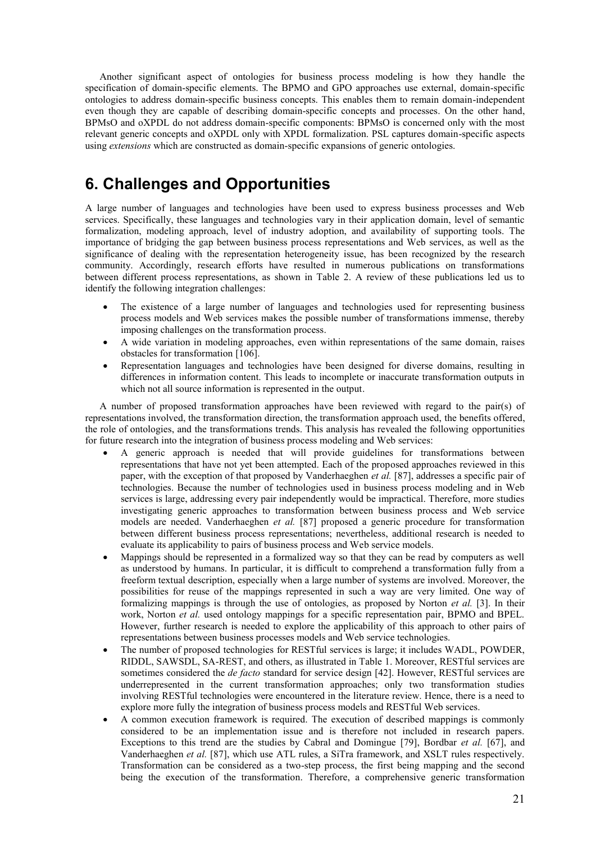Another significant aspect of ontologies for business process modeling is how they handle the specification of domain-specific elements. The BPMO and GPO approaches use external, domain-specific ontologies to address domain-specific business concepts. This enables them to remain domain-independent even though they are capable of describing domain-specific concepts and processes. On the other hand, BPMsO and oXPDL do not address domain-specific components: BPMsO is concerned only with the most relevant generic concepts and oXPDL only with XPDL formalization. PSL captures domain-specific aspects using *extensions* which are constructed as domain-specific expansions of generic ontologies.

# **6. Challenges and Opportunities**

A large number of languages and technologies have been used to express business processes and Web services. Specifically, these languages and technologies vary in their application domain, level of semantic formalization, modeling approach, level of industry adoption, and availability of supporting tools. The importance of bridging the gap between business process representations and Web services, as well as the significance of dealing with the representation heterogeneity issue, has been recognized by the research community. Accordingly, research efforts have resulted in numerous publications on transformations between different process representations, as shown in Table 2. A review of these publications led us to identify the following integration challenges:

- The existence of a large number of languages and technologies used for representing business process models and Web services makes the possible number of transformations immense, thereby imposing challenges on the transformation process.
- A wide variation in modeling approaches, even within representations of the same domain, raises obstacles for transformation [106].
- Representation languages and technologies have been designed for diverse domains, resulting in differences in information content. This leads to incomplete or inaccurate transformation outputs in which not all source information is represented in the output.

A number of proposed transformation approaches have been reviewed with regard to the pair(s) of representations involved, the transformation direction, the transformation approach used, the benefits offered, the role of ontologies, and the transformations trends. This analysis has revealed the following opportunities for future research into the integration of business process modeling and Web services:

- A generic approach is needed that will provide guidelines for transformations between representations that have not yet been attempted. Each of the proposed approaches reviewed in this paper, with the exception of that proposed by Vanderhaeghen *et al.* [87], addresses a specific pair of technologies. Because the number of technologies used in business process modeling and in Web services is large, addressing every pair independently would be impractical. Therefore, more studies investigating generic approaches to transformation between business process and Web service models are needed. Vanderhaeghen *et al.* [87] proposed a generic procedure for transformation between different business process representations; nevertheless, additional research is needed to evaluate its applicability to pairs of business process and Web service models.
- Mappings should be represented in a formalized way so that they can be read by computers as well as understood by humans. In particular, it is difficult to comprehend a transformation fully from a freeform textual description, especially when a large number of systems are involved. Moreover, the possibilities for reuse of the mappings represented in such a way are very limited. One way of formalizing mappings is through the use of ontologies, as proposed by Norton *et al.* [3]. In their work, Norton *et al.* used ontology mappings for a specific representation pair, BPMO and BPEL. However, further research is needed to explore the applicability of this approach to other pairs of representations between business processes models and Web service technologies.
- The number of proposed technologies for RESTful services is large; it includes WADL, POWDER, RIDDL, SAWSDL, SA-REST, and others, as illustrated in Table 1. Moreover, RESTful services are sometimes considered the *de facto* standard for service design [42]. However, RESTful services are underrepresented in the current transformation approaches; only two transformation studies involving RESTful technologies were encountered in the literature review. Hence, there is a need to explore more fully the integration of business process models and RESTful Web services.
- A common execution framework is required. The execution of described mappings is commonly considered to be an implementation issue and is therefore not included in research papers. Exceptions to this trend are the studies by Cabral and Domingue [79], Bordbar *et al.* [67], and Vanderhaeghen *et al.* [87], which use ATL rules, a SiTra framework, and XSLT rules respectively. Transformation can be considered as a two-step process, the first being mapping and the second being the execution of the transformation. Therefore, a comprehensive generic transformation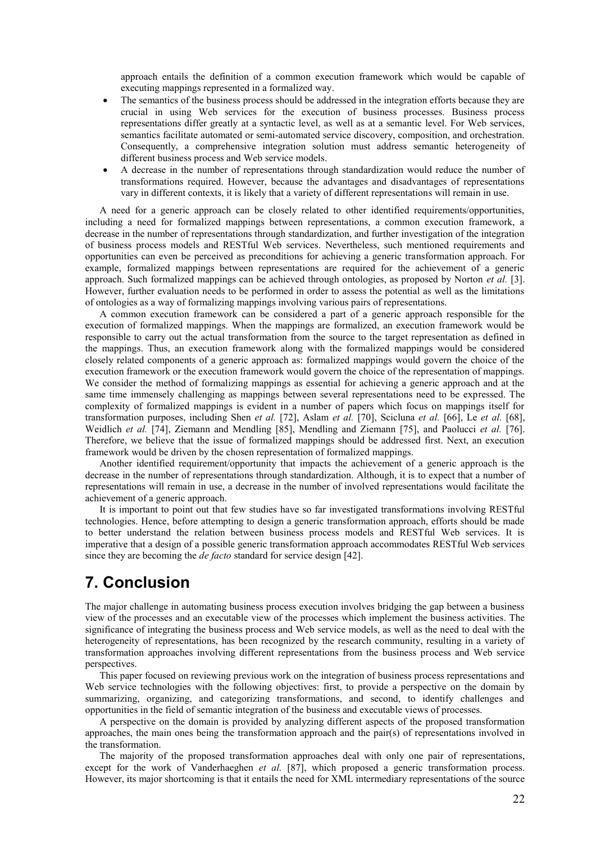approach entails the definition of a common execution framework which would be capable of executing mappings represented in a formalized way.

- The semantics of the business process should be addressed in the integration efforts because they are crucial in using Web services for the execution of business processes. Business process representations differ greatly at a syntactic level, as well as at a semantic level. For Web services, semantics facilitate automated or semi-automated service discovery, composition, and orchestration. Consequently, a comprehensive integration solution must address semantic heterogeneity of different business process and Web service models.
- A decrease in the number of representations through standardization would reduce the number of transformations required. However, because the advantages and disadvantages of representations vary in different contexts, it is likely that a variety of different representations will remain in use.

A need for a generic approach can be closely related to other identified requirements/opportunities, including a need for formalized mappings between representations, a common execution framework, a decrease in the number of representations through standardization, and further investigation of the integration of business process models and RESTful Web services. Nevertheless, such mentioned requirements and opportunities can even be perceived as preconditions for achieving a generic transformation approach. For example, formalized mappings between representations are required for the achievement of a generic approach. Such formalized mappings can be achieved through ontologies, as proposed by Norton *et al.* [3]. However, further evaluation needs to be performed in order to assess the potential as well as the limitations of ontologies as a way of formalizing mappings involving various pairs of representations.

A common execution framework can be considered a part of a generic approach responsible for the execution of formalized mappings. When the mappings are formalized, an execution framework would be responsible to carry out the actual transformation from the source to the target representation as defined in the mappings. Thus, an execution framework along with the formalized mappings would be considered closely related components of a generic approach as: formalized mappings would govern the choice of the execution framework or the execution framework would govern the choice of the representation of mappings. We consider the method of formalizing mappings as essential for achieving a generic approach and at the same time immensely challenging as mappings between several representations need to be expressed. The complexity of formalized mappings is evident in a number of papers which focus on mappings itself for transformation purposes, including Shen *et al.* [72], Aslam *et al.* [70], Scicluna *et al.* [66], Le *et al.* [68], Weidlich *et al.* [74], Ziemann and Mendling [85], Mendling and Ziemann [75], and Paolucci *et al.* [76]. Therefore, we believe that the issue of formalized mappings should be addressed first. Next, an execution framework would be driven by the chosen representation of formalized mappings.

Another identified requirement/opportunity that impacts the achievement of a generic approach is the decrease in the number of representations through standardization. Although, it is to expect that a number of representations will remain in use, a decrease in the number of involved representations would facilitate the achievement of a generic approach.

It is important to point out that few studies have so far investigated transformations involving RESTful technologies. Hence, before attempting to design a generic transformation approach, efforts should be made to better understand the relation between business process models and RESTful Web services. It is imperative that a design of a possible generic transformation approach accommodates RESTful Web services since they are becoming the *de facto* standard for service design [42].

# **7. Conclusion**

The major challenge in automating business process execution involves bridging the gap between a business view of the processes and an executable view of the processes which implement the business activities. The significance of integrating the business process and Web service models, as well as the need to deal with the heterogeneity of representations, has been recognized by the research community, resulting in a variety of transformation approaches involving different representations from the business process and Web service perspectives.

This paper focused on reviewing previous work on the integration of business process representations and Web service technologies with the following objectives: first, to provide a perspective on the domain by summarizing, organizing, and categorizing transformations, and second, to identify challenges and opportunities in the field of semantic integration of the business and executable views of processes.

A perspective on the domain is provided by analyzing different aspects of the proposed transformation approaches, the main ones being the transformation approach and the pair(s) of representations involved in the transformation.

The majority of the proposed transformation approaches deal with only one pair of representations, except for the work of Vanderhaeghen *et al.* [87], which proposed a generic transformation process. However, its major shortcoming is that it entails the need for XML intermediary representations of the source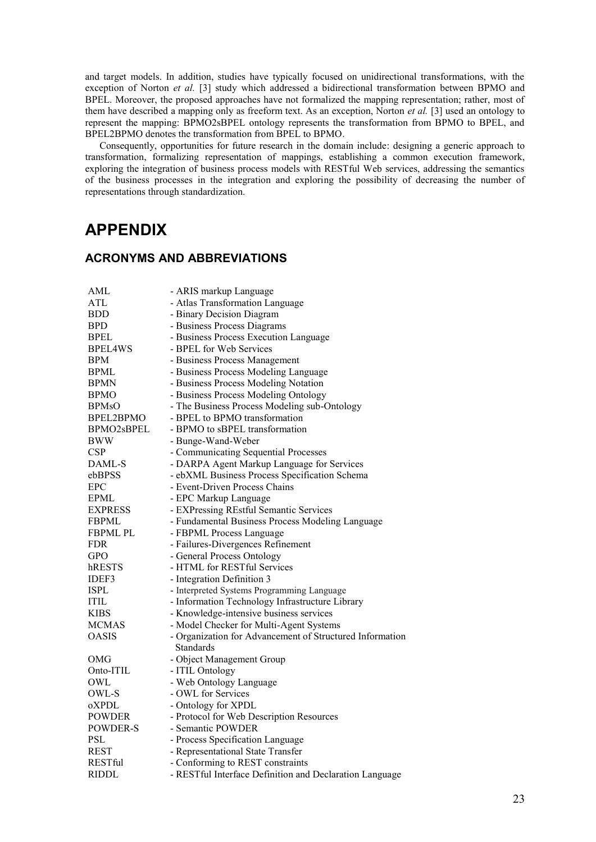and target models. In addition, studies have typically focused on unidirectional transformations, with the exception of Norton *et al.* [3] study which addressed a bidirectional transformation between BPMO and BPEL. Moreover, the proposed approaches have not formalized the mapping representation; rather, most of them have described a mapping only as freeform text. As an exception, Norton *et al.* [3] used an ontology to represent the mapping: BPMO2sBPEL ontology represents the transformation from BPMO to BPEL, and BPEL2BPMO denotes the transformation from BPEL to BPMO.

Consequently, opportunities for future research in the domain include: designing a generic approach to transformation, formalizing representation of mappings, establishing a common execution framework, exploring the integration of business process models with RESTful Web services, addressing the semantics of the business processes in the integration and exploring the possibility of decreasing the number of representations through standardization.

# **APPENDIX**

## **ACRONYMS AND ABBREVIATIONS**

| AML             | - ARIS markup Language                                   |  |
|-----------------|----------------------------------------------------------|--|
| ATL             | - Atlas Transformation Language                          |  |
| <b>BDD</b>      | - Binary Decision Diagram                                |  |
| <b>BPD</b>      | - Business Process Diagrams                              |  |
| <b>BPEL</b>     | - Business Process Execution Language                    |  |
| <b>BPEL4WS</b>  | - BPEL for Web Services                                  |  |
| <b>BPM</b>      | - Business Process Management                            |  |
| <b>BPML</b>     | - Business Process Modeling Language                     |  |
| <b>BPMN</b>     | - Business Process Modeling Notation                     |  |
| <b>BPMO</b>     | - Business Process Modeling Ontology                     |  |
| <b>BPMsO</b>    | - The Business Process Modeling sub-Ontology             |  |
| BPEL2BPMO       | - BPEL to BPMO transformation                            |  |
| BPMO2sBPEL      | - BPMO to sBPEL transformation                           |  |
| <b>BWW</b>      | - Bunge-Wand-Weber                                       |  |
| <b>CSP</b>      | - Communicating Sequential Processes                     |  |
| DAML-S          | - DARPA Agent Markup Language for Services               |  |
| ebBPSS          | - ebXML Business Process Specification Schema            |  |
| <b>EPC</b>      | - Event-Driven Process Chains                            |  |
| <b>EPML</b>     | - EPC Markup Language                                    |  |
| <b>EXPRESS</b>  | - EXPressing REstful Semantic Services                   |  |
| <b>FBPML</b>    | - Fundamental Business Process Modeling Language         |  |
| <b>FBPML PL</b> | - FBPML Process Language                                 |  |
| <b>FDR</b>      | - Failures-Divergences Refinement                        |  |
| <b>GPO</b>      | - General Process Ontology                               |  |
| hRESTS          | - HTML for RESTful Services                              |  |
| IDEF3           | - Integration Definition 3                               |  |
| <b>ISPL</b>     | - Interpreted Systems Programming Language               |  |
| <b>ITIL</b>     | - Information Technology Infrastructure Library          |  |
| <b>KIBS</b>     | - Knowledge-intensive business services                  |  |
| <b>MCMAS</b>    | - Model Checker for Multi-Agent Systems                  |  |
| <b>OASIS</b>    | - Organization for Advancement of Structured Information |  |
|                 | <b>Standards</b>                                         |  |
| OMG             | - Object Management Group                                |  |
| Onto-ITIL       | - ITIL Ontology                                          |  |
| OWL             | - Web Ontology Language                                  |  |
| OWL-S           | - OWL for Services                                       |  |
| oXPDL           | - Ontology for XPDL                                      |  |
| <b>POWDER</b>   | - Protocol for Web Description Resources                 |  |
| POWDER-S        | - Semantic POWDER                                        |  |
| PSL             | - Process Specification Language                         |  |
| <b>REST</b>     | - Representational State Transfer                        |  |
| <b>RESTful</b>  | - Conforming to REST constraints                         |  |
| RIDDL           | - RESTful Interface Definition and Declaration Language  |  |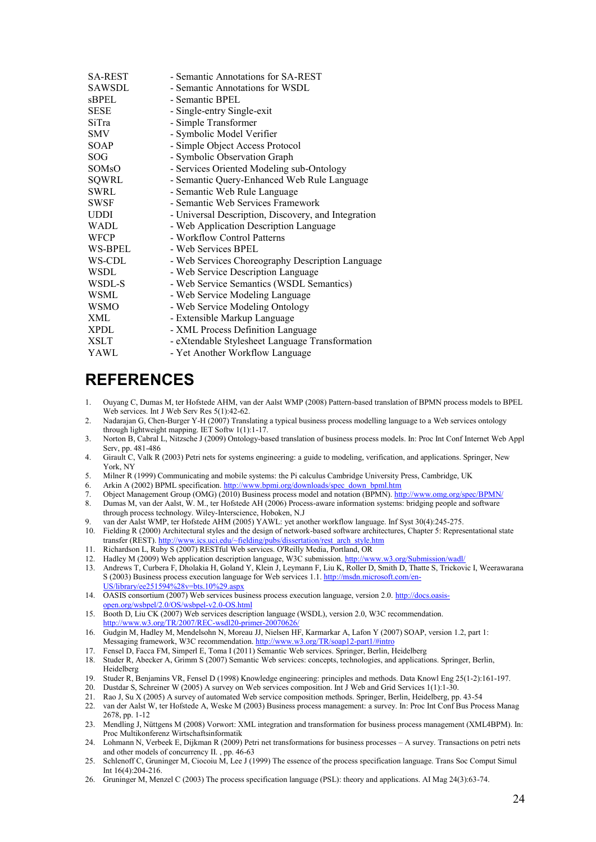| <b>SA-REST</b>     | - Semantic Annotations for SA-REST                  |
|--------------------|-----------------------------------------------------|
| SAWSDL             | - Semantic Annotations for WSDL                     |
| sBPEL              | - Semantic BPEL                                     |
| <b>SESE</b>        | - Single-entry Single-exit                          |
| SiTra              | - Simple Transformer                                |
| <b>SMV</b>         | - Symbolic Model Verifier                           |
| <b>SOAP</b>        | - Simple Object Access Protocol                     |
| <b>SOG</b>         | - Symbolic Observation Graph                        |
| SOM <sub>s</sub> O | - Services Oriented Modeling sub-Ontology           |
| SQWRL              | - Semantic Query-Enhanced Web Rule Language         |
| SWRL               | - Semantic Web Rule Language                        |
| SWSF               | - Semantic Web Services Framework                   |
| <b>UDDI</b>        | - Universal Description, Discovery, and Integration |
| WADL               | - Web Application Description Language              |
| WFCP               | - Workflow Control Patterns                         |
| WS-BPEL            | - Web Services BPEL                                 |
| WS-CDL             | - Web Services Choreography Description Language    |
| <b>WSDL</b>        | - Web Service Description Language                  |
| WSDL-S             | - Web Service Semantics (WSDL Semantics)            |
| WSML               | - Web Service Modeling Language                     |
| <b>WSMO</b>        | - Web Service Modeling Ontology                     |
| XML                | - Extensible Markup Language                        |
| XPDL               | - XML Process Definition Language                   |
| <b>XSLT</b>        | - eXtendable Stylesheet Language Transformation     |
| YAWL               | - Yet Another Workflow Language                     |

# **REFERENCES**

- 1. Ouyang C, Dumas M, ter Hofstede AHM, van der Aalst WMP (2008) Pattern-based translation of BPMN process models to BPEL Web services. Int J Web Serv Res 5(1):42-62.
- 2. Nadarajan G, Chen-Burger Y-H (2007) Translating a typical business process modelling language to a Web services ontology through lightweight mapping. IET Softw 1(1):1-17.
- 3. Norton B, Cabral L, Nitzsche J (2009) Ontology-based translation of business process models. In: Proc Int Conf Internet Web Appl Serv, pp. 481-486
- 4. Girault C, Valk R (2003) Petri nets for systems engineering: a guide to modeling, verification, and applications. Springer, New York, NY
- 5. Milner R (1999) Communicating and mobile systems: the Pi calculus Cambridge University Press, Cambridge, UK
- 6. Arkin A (2002) BPML specification[. http://www.bpmi.org/downloads/spec\\_down\\_bpml.htm](http://www.bpmi.org/downloads/spec_down_bpml.htm)
- 7. Object Management Group (OMG) (2010) Business process model and notation (BPMN)[. http://www.omg.org/spec/BPMN/](http://www.omg.org/spec/BPMN/) 8. Dumas M, van der Aalst, W. M., ter Hofstede AH (2006) Process-aware information systems: bridging people and software through process technology. Wiley-Interscience, Hoboken, N.J
- 9. van der Aalst WMP, ter Hofstede AHM (2005) YAWL: yet another workflow language. Inf Syst 30(4):245-275.
- 10. Fielding R (2000) Architectural styles and the design of network-based software architectures, Chapter 5: Representational state transfer (REST)[. http://www.ics.uci.edu/~fielding/pubs/dissertation/rest\\_arch\\_style.htm](http://www.ics.uci.edu/~fielding/pubs/dissertation/rest_arch_style.htm)
- 11. Richardson L, Ruby S (2007) RESTful Web services. O'Reilly Media, Portland, OR
- 12. Hadley M (2009) Web application description language, W3C submission[. http://www.w3.org/Submission/wadl/](http://www.w3.org/Submission/wadl/)
- 13. Andrews T, Curbera F, Dholakia H, Goland Y, Klein J, Leymann F, Liu K, Roller D, Smith D, Thatte S, Trickovic I, Weerawarana S (2003) Business process execution language for Web services 1.1[. http://msdn.microsoft.com/en-](http://msdn.microsoft.com/en-US/library/ee251594%28v=bts.10%29.aspx)[US/library/ee251594%28v=bts.10%29.aspx](http://msdn.microsoft.com/en-US/library/ee251594%28v=bts.10%29.aspx)
- 14. OASIS consortium (2007) Web services business process execution language, version 2.0. [http://docs.oasis](http://docs.oasis-open.org/wsbpel/2.0/OS/wsbpel-v2.0-OS.html)[open.org/wsbpel/2.0/OS/wsbpel-v2.0-OS.html](http://docs.oasis-open.org/wsbpel/2.0/OS/wsbpel-v2.0-OS.html)
- 15. Booth D, Liu CK (2007) Web services description language (WSDL), version 2.0, W3C recommendation. <http://www.w3.org/TR/2007/REC-wsdl20-primer-20070626/>
- 16. Gudgin M, Hadley M, Mendelsohn N, Moreau JJ, Nielsen HF, Karmarkar A, Lafon Y (2007) SOAP, version 1.2, part 1: Messaging framework, W3C recommendation[. http://www.w3.org/TR/soap12-part1/#intro](http://www.w3.org/TR/soap12-part1/#intro)
- 17. Fensel D, Facca FM, Simperl E, Toma I (2011) Semantic Web services. Springer, Berlin, Heidelberg
- 18. Studer R, Abecker A, Grimm S (2007) Semantic Web services: concepts, technologies, and applications. Springer, Berlin, Heidelberg
- 19. Studer R, Benjamins VR, Fensel D (1998) Knowledge engineering: principles and methods. Data Knowl Eng 25(1-2):161-197.
- 20. Dustdar S, Schreiner W (2005) A survey on Web services composition. Int J Web and Grid Services 1(1):1-30.
- 21. Rao J, Su X (2005) A survey of automated Web service composition methods. Springer, Berlin, Heidelberg, pp. 43-54
- 22. van der Aalst W, ter Hofstede A, Weske M (2003) Business process management: a survey. In: Proc Int Conf Bus Process Manag 2678, pp. 1-12
- 23. Mendling J, Nüttgens M (2008) Vorwort: XML integration and transformation for business process management (XML4BPM). In: Proc Multikonferenz Wirtschaftsinformatik
- 24. Lohmann N, Verbeek E, Dijkman R (2009) Petri net transformations for business processes A survey. Transactions on petri nets and other models of concurrency II. , pp. 46-63
- 25. Schlenoff C, Gruninger M, Ciocoiu M, Lee J (1999) The essence of the process specification language. Trans Soc Comput Simul Int 16(4):204-216.
- 26. Gruninger M, Menzel C (2003) The process specification language (PSL): theory and applications. AI Mag 24(3):63-74.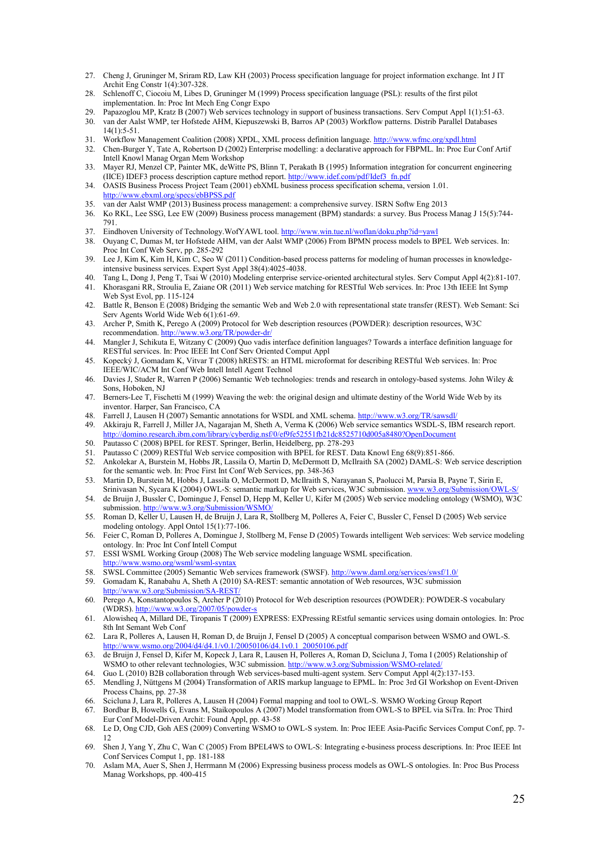- 27. Cheng J, Gruninger M, Sriram RD, Law KH (2003) Process specification language for project information exchange. Int J IT Archit Eng Constr 1(4):307-328.
- 28. Schlenoff C, Ciocoiu M, Libes D, Gruninger M (1999) Process specification language (PSL): results of the first pilot implementation. In: Proc Int Mech Eng Congr Expo
- 29. Papazoglou MP, Kratz B (2007) Web services technology in support of business transactions. Serv Comput Appl 1(1):51-63.<br>30. van der Aalst WMP, ter Hofstede AHM, Kiepuszewski B, Barros AP (2003) Workflow patterns. Distr
- 30. van der Aalst WMP, ter Hofstede AHM, Kiepuszewski B, Barros AP (2003) Workflow patterns. Distrib Parallel Databases  $14(1)$ : 5-51.
- 31. Workflow Management Coalition (2008) XPDL, XML process definition language[. http://www.wfmc.org/xpdl.html](http://www.wfmc.org/xpdl.html)<br>32. Chen-Burger Y. Tate A. Robertson D (2002) Enterprise modelling: a declarative approach for FBPML. In: Proc E
- 32. Chen-Burger Y, Tate A, Robertson D (2002) Enterprise modelling: a declarative approach for FBPML. In: Proc Eur Conf Artif Intell Knowl Manag Organ Mem Workshop
- 33. Mayer RJ, Menzel CP, Painter MK, deWitte PS, Blinn T, Perakath B (1995) Information integration for concurrent engineering (IICE) IDEF3 process description capture method report. [http://www.idef.com/pdf/Idef3\\_fn.pdf](http://www.idef.com/pdf/Idef3_fn.pdf)
- 34. OASIS Business Process Project Team (2001) ebXML business process specification schema, version 1.01. <http://www.ebxml.org/specs/ebBPSS.pdf>
- 35. van der Aalst WMP (2013) Business process management: a comprehensive survey. ISRN Softw Eng 2013
- 36. Ko RKL, Lee SSG, Lee EW (2009) Business process management (BPM) standards: a survey. Bus Process Manag J 15(5):744- 791.
- 37. Eindhoven University of Technology. WofYAWL tool.<http://www.win.tue.nl/woflan/doku.php?id=yawl>
- 38. Ouyang C, Dumas M, ter Hofstede AHM, van der Aalst WMP (2006) From BPMN process models to BPEL Web services. In: Proc Int Conf Web Serv, pp. 285-292
- 39. Lee J, Kim K, Kim H, Kim C, Seo W (2011) Condition-based process patterns for modeling of human processes in knowledgeintensive business services. Expert Syst Appl 38(4):4025-4038.
- 40. Tang L, Dong J, Peng T, Tsai W (2010) Modeling enterprise service-oriented architectural styles. Serv Comput Appl 4(2):81-107.<br>41 Khorasgani RR. Stroulia E. Zaiane OR (2011) Web service matching for RESTful Web service 41. Khorasgani RR, Stroulia E, Zaiane OR (2011) Web service matching for RESTful Web services. In: Proc 13th IEEE Int Symp Web Syst Evol, pp. 115-124
- 42. Battle R, Benson E (2008) Bridging the semantic Web and Web 2.0 with representational state transfer (REST). Web Semant: Sci Serv Agents World Wide Web 6(1):61-69.
- 43. Archer P, Smith K, Perego A (2009) Protocol for Web description resources (POWDER): description resources, W3C recommendation.<http://www.w3.org/TR/powder-dr/>
- 44. Mangler J, Schikuta E, Witzany C (2009) Quo vadis interface definition languages? Towards a interface definition language for RESTful services. In: Proc IEEE Int Conf Serv Oriented Comput Appl
- 45. Kopecký J, Gomadam K, Vitvar T (2008) hRESTS: an HTML microformat for describing RESTful Web services. In: Proc IEEE/WIC/ACM Int Conf Web Intell Intell Agent Technol
- 46. Davies J, Studer R, Warren P (2006) Semantic Web technologies: trends and research in ontology-based systems. John Wiley & Sons, Hoboken, NJ
- 47. Berners-Lee T, Fischetti M (1999) Weaving the web: the original design and ultimate destiny of the World Wide Web by its inventor. Harper, San Francisco, CA
- 48. Farrell J, Lausen H (2007) Semantic annotations for WSDL and XML schema[. http://www.w3.org/TR/sawsdl/](http://www.w3.org/TR/sawsdl/)
- 49. Akkiraju R, Farrell J, Miller JA, Nagarajan M, Sheth A, Verma K (2006) Web service semantics WSDL-S, IBM research report. <http://domino.research.ibm.com/library/cyberdig.nsf/0/ef9fe52551fb21dc8525710d005a8480?OpenDocument>
- 50. Pautasso C (2008) BPEL for REST. Springer, Berlin, Heidelberg, pp. 278-293
- 51. Pautasso C (2009) RESTful Web service composition with BPEL for REST. Data Knowl Eng 68(9):851-866.
- 52. Ankolekar A, Burstein M, Hobbs JR, Lassila O, Martin D, McDermott D, McIlraith SA (2002) DAML-S: Web service description for the semantic web. In: Proc First Int Conf Web Services, pp. 348-363
- 53. Martin D, Burstein M, Hobbs J, Lassila O, McDermott D, McIlraith S, Narayanan S, Paolucci M, Parsia B, Payne T, Sirin E, Srinivasan N, Sycara K (2004) OWL-S: semantic markup for Web services, W3C submission. www.w3.org/Submission/OWL
- 54. de Bruijn J, Bussler C, Domingue J, Fensel D, Hepp M, Keller U, Kifer M (2005) Web service modeling ontology (WSMO), W3C submission. http://www.w3.org/Submission/WSMO
- 55. Roman D, Keller U, Lausen H, de Bruijn J, Lara R, Stollberg M, Polleres A, Feier C, Bussler C, Fensel D (2005) Web service modeling ontology. Appl Ontol 15(1):77-106.
- 56. Feier C, Roman D, Polleres A, Domingue J, Stollberg M, Fense D (2005) Towards intelligent Web services: Web service modeling ontology. In: Proc Int Conf Intell Comput
- 57. ESSI WSML Working Group (2008) The Web service modeling language WSML specification. <http://www.wsmo.org/wsml/wsml-syntax>
- 58. SWSL Committee (2005) Semantic Web services framework (SWSF)[. http://www.daml.org/services/swsf/1.0/](http://www.daml.org/services/swsf/1.0/)
- 59. Gomadam K, Ranabahu A, Sheth A (2010) SA-REST: semantic annotation of Web resources, W3C submission <http://www.w3.org/Submission/SA-REST/>
- Perego A, Konstantopoulos S, Archer P (2010) Protocol for Web description resources (POWDER): POWDER-S vocabulary (WDRS)[. http://www.w3.org/2007/05/powder-s](http://www.w3.org/2007/05/powder-s)
- 61. Alowisheq A, Millard DE, Tiropanis T (2009) EXPRESS: EXPressing REstful semantic services using domain ontologies. In: Proc 8th Int Semant Web Conf
- 62. Lara R, Polleres A, Lausen H, Roman D, de Bruijn J, Fensel D (2005) A conceptual comparison between WSMO and OWL-S. [http://www.wsmo.org/2004/d4/d4.1/v0.1/20050106/d4.1v0.1\\_20050106.pdf](http://www.wsmo.org/2004/d4/d4.1/v0.1/20050106/d4.1v0.1_20050106.pdf)
- 63. de Bruijn J, Fensel D, Kifer M, Kopeck J, Lara R, Lausen H, Polleres A, Roman D, Scicluna J, Toma I (2005) Relationship of WSMO to other relevant technologies, W3C submission. http://www.w3.org/Submission/WSMO-relate
- 64. Guo L (2010) B2B collaboration through Web services-based multi-agent system. Serv Comput Appl 4(2):137-153.
- 65. Mendling J, Nüttgens M (2004) Transformation of ARIS markup language to EPML. In: Proc 3rd GI Workshop on Event-Driven Process Chains, pp. 27-38
- 66. Scicluna J, Lara R, Polleres A, Lausen H (2004) Formal mapping and tool to OWL-S. WSMO Working Group Report
- 67. Bordbar B, Howells G, Evans M, Staikopoulos A (2007) Model transformation from OWL-S to BPEL via SiTra. In: Proc Third Eur Conf Model-Driven Archit: Found Appl, pp. 43-58
- 68. Le D, Ong CJD, Goh AES (2009) Converting WSMO to OWL-S system. In: Proc IEEE Asia-Pacific Services Comput Conf, pp. 7- 12
- 69. Shen J, Yang Y, Zhu C, Wan C (2005) From BPEL4WS to OWL-S: Integrating e-business process descriptions. In: Proc IEEE Int Conf Services Comput 1, pp. 181-188
- 70. Aslam MA, Auer S, Shen J, Herrmann M (2006) Expressing business process models as OWL-S ontologies. In: Proc Bus Process Manag Workshops, pp. 400-415